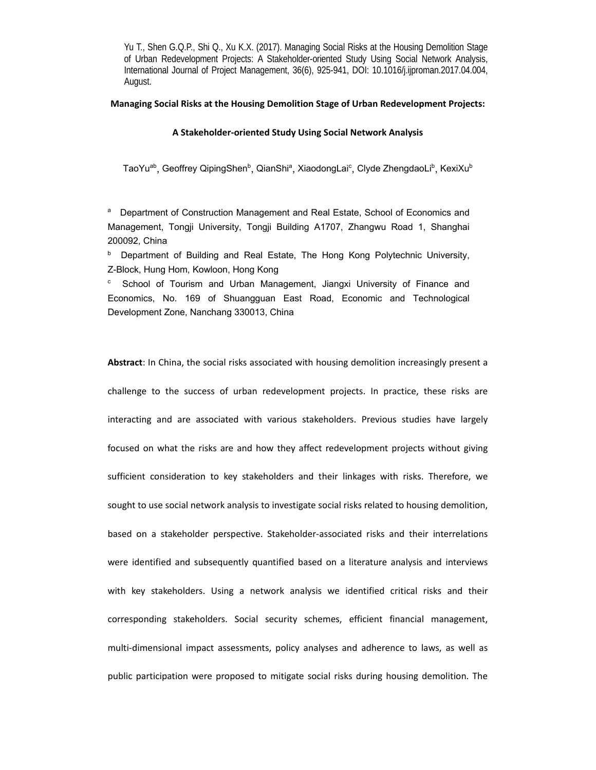**Managing Social Risks at the Housing Demolition Stage of Urban Redevelopment Projects:** 

#### **A Stakeholder‐oriented Study Using Social Network Analysis**

TaoYuª<sup>b</sup>, Geoffrey QipingShen<sup>ь</sup>, QianShiª, XiaodongLai<sup>c</sup>, Clyde ZhengdaoLi<sup>ь</sup>, KexiXu<sup>ь</sup>

a Department of Construction Management and Real Estate, School of Economics and Management, Tongji University, Tongji Building A1707, Zhangwu Road 1, Shanghai 200092, China

**b** Department of Building and Real Estate, The Hong Kong Polytechnic University, Z-Block, Hung Hom, Kowloon, Hong Kong

c School of Tourism and Urban Management, Jiangxi University of Finance and Economics, No. 169 of Shuangguan East Road, Economic and Technological Development Zone, Nanchang 330013, China

**Abstract**: In China, the social risks associated with housing demolition increasingly present a challenge to the success of urban redevelopment projects. In practice, these risks are interacting and are associated with various stakeholders. Previous studies have largely focused on what the risks are and how they affect redevelopment projects without giving sufficient consideration to key stakeholders and their linkages with risks. Therefore, we sought to use social network analysis to investigate social risks related to housing demolition, based on a stakeholder perspective. Stakeholder‐associated risks and their interrelations were identified and subsequently quantified based on a literature analysis and interviews with key stakeholders. Using a network analysis we identified critical risks and their corresponding stakeholders. Social security schemes, efficient financial management, multi‐dimensional impact assessments, policy analyses and adherence to laws, as well as public participation were proposed to mitigate social risks during housing demolition. The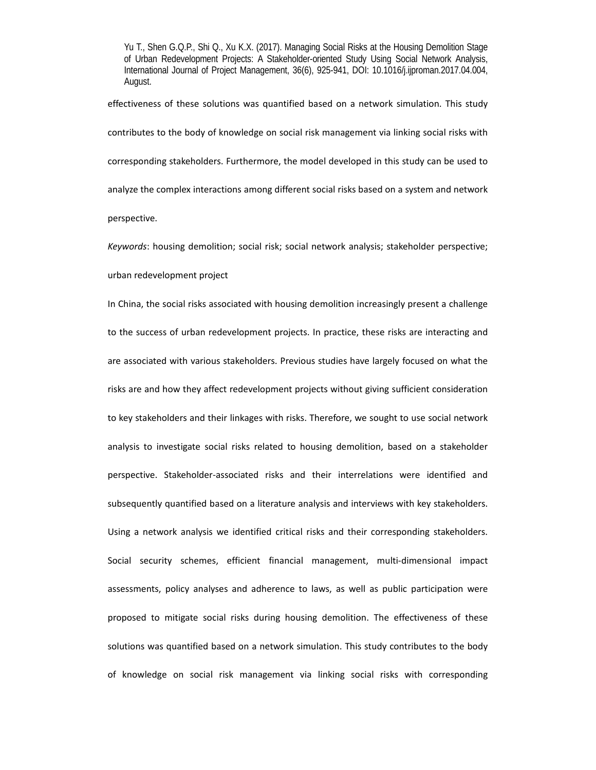effectiveness of these solutions was quantified based on a network simulation. This study contributes to the body of knowledge on social risk management via linking social risks with corresponding stakeholders. Furthermore, the model developed in this study can be used to analyze the complex interactions among different social risks based on a system and network perspective.

*Keywords*: housing demolition; social risk; social network analysis; stakeholder perspective; urban redevelopment project

In China, the social risks associated with housing demolition increasingly present a challenge to the success of urban redevelopment projects. In practice, these risks are interacting and are associated with various stakeholders. Previous studies have largely focused on what the risks are and how they affect redevelopment projects without giving sufficient consideration to key stakeholders and their linkages with risks. Therefore, we sought to use social network analysis to investigate social risks related to housing demolition, based on a stakeholder perspective. Stakeholder‐associated risks and their interrelations were identified and subsequently quantified based on a literature analysis and interviews with key stakeholders. Using a network analysis we identified critical risks and their corresponding stakeholders. Social security schemes, efficient financial management, multi-dimensional impact assessments, policy analyses and adherence to laws, as well as public participation were proposed to mitigate social risks during housing demolition. The effectiveness of these solutions was quantified based on a network simulation. This study contributes to the body of knowledge on social risk management via linking social risks with corresponding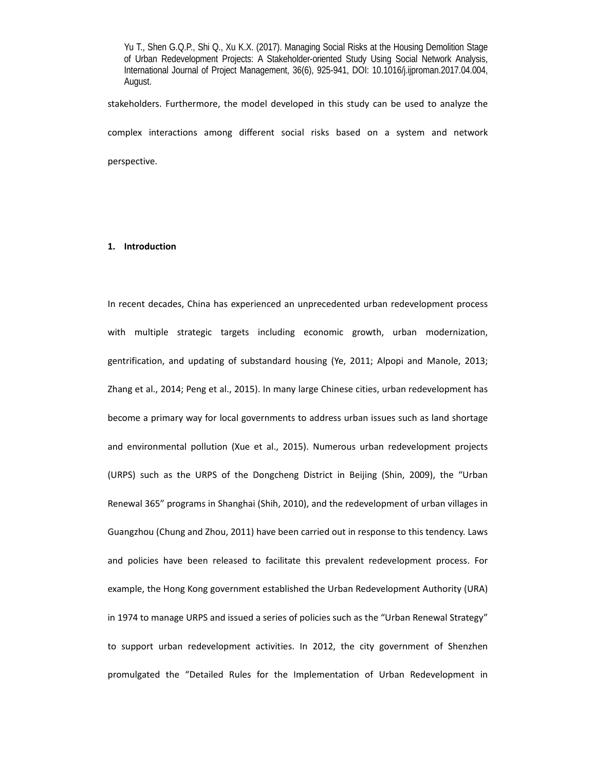stakeholders. Furthermore, the model developed in this study can be used to analyze the complex interactions among different social risks based on a system and network perspective.

# **1. Introduction**

In recent decades, China has experienced an unprecedented urban redevelopment process with multiple strategic targets including economic growth, urban modernization, gentrification, and updating of substandard housing (Ye, 2011; Alpopi and Manole, 2013; Zhang et al., 2014; Peng et al., 2015). In many large Chinese cities, urban redevelopment has become a primary way for local governments to address urban issues such as land shortage and environmental pollution (Xue et al., 2015). Numerous urban redevelopment projects (URPS) such as the URPS of the Dongcheng District in Beijing (Shin, 2009), the "Urban Renewal 365" programs in Shanghai (Shih, 2010), and the redevelopment of urban villages in Guangzhou (Chung and Zhou, 2011) have been carried out in response to this tendency. Laws and policies have been released to facilitate this prevalent redevelopment process. For example, the Hong Kong government established the Urban Redevelopment Authority (URA) in 1974 to manage URPS and issued a series of policies such as the "Urban Renewal Strategy" to support urban redevelopment activities. In 2012, the city government of Shenzhen promulgated the "Detailed Rules for the Implementation of Urban Redevelopment in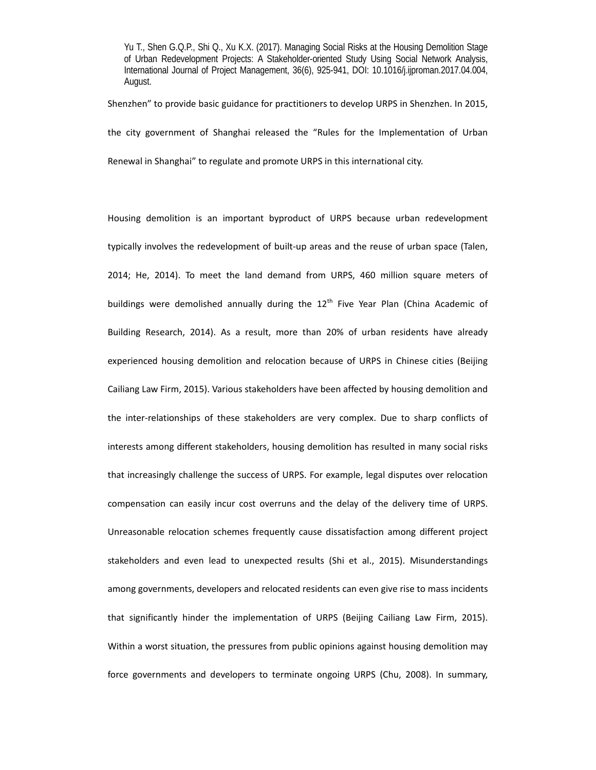Shenzhen" to provide basic guidance for practitioners to develop URPS in Shenzhen. In 2015, the city government of Shanghai released the "Rules for the Implementation of Urban Renewal in Shanghai" to regulate and promote URPS in this international city.

Housing demolition is an important byproduct of URPS because urban redevelopment typically involves the redevelopment of built‐up areas and the reuse of urban space (Talen, 2014; He, 2014). To meet the land demand from URPS, 460 million square meters of buildings were demolished annually during the  $12<sup>th</sup>$  Five Year Plan (China Academic of Building Research, 2014). As a result, more than 20% of urban residents have already experienced housing demolition and relocation because of URPS in Chinese cities (Beijing Cailiang Law Firm, 2015). Various stakeholders have been affected by housing demolition and the inter-relationships of these stakeholders are very complex. Due to sharp conflicts of interests among different stakeholders, housing demolition has resulted in many social risks that increasingly challenge the success of URPS. For example, legal disputes over relocation compensation can easily incur cost overruns and the delay of the delivery time of URPS. Unreasonable relocation schemes frequently cause dissatisfaction among different project stakeholders and even lead to unexpected results (Shi et al., 2015). Misunderstandings among governments, developers and relocated residents can even give rise to mass incidents that significantly hinder the implementation of URPS (Beijing Cailiang Law Firm, 2015). Within a worst situation, the pressures from public opinions against housing demolition may force governments and developers to terminate ongoing URPS (Chu, 2008). In summary,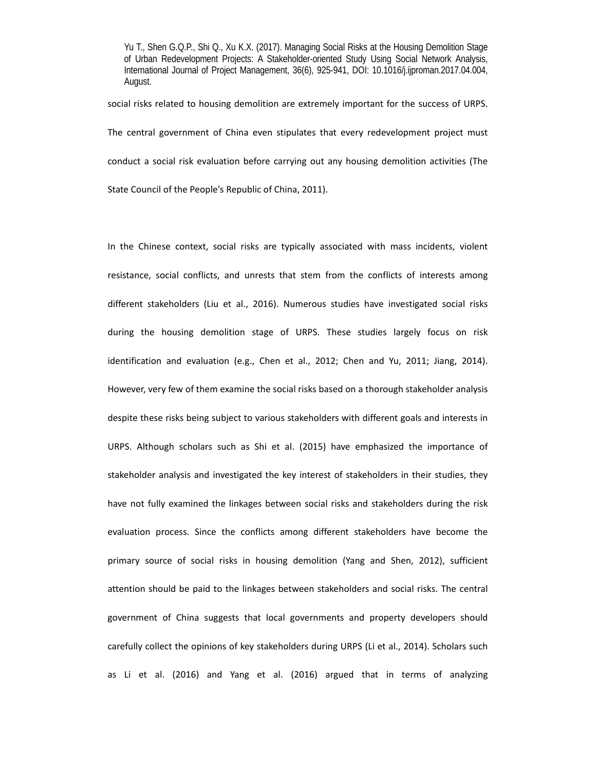social risks related to housing demolition are extremely important for the success of URPS. The central government of China even stipulates that every redevelopment project must conduct a social risk evaluation before carrying out any housing demolition activities (The State Council of the People's Republic of China, 2011).

In the Chinese context, social risks are typically associated with mass incidents, violent resistance, social conflicts, and unrests that stem from the conflicts of interests among different stakeholders (Liu et al., 2016). Numerous studies have investigated social risks during the housing demolition stage of URPS. These studies largely focus on risk identification and evaluation (e.g., Chen et al., 2012; Chen and Yu, 2011; Jiang, 2014). However, very few of them examine the social risks based on a thorough stakeholder analysis despite these risks being subject to various stakeholders with different goals and interests in URPS. Although scholars such as Shi et al. (2015) have emphasized the importance of stakeholder analysis and investigated the key interest of stakeholders in their studies, they have not fully examined the linkages between social risks and stakeholders during the risk evaluation process. Since the conflicts among different stakeholders have become the primary source of social risks in housing demolition (Yang and Shen, 2012), sufficient attention should be paid to the linkages between stakeholders and social risks. The central government of China suggests that local governments and property developers should carefully collect the opinions of key stakeholders during URPS (Li et al., 2014). Scholars such as Li et al. (2016) and Yang et al. (2016) argued that in terms of analyzing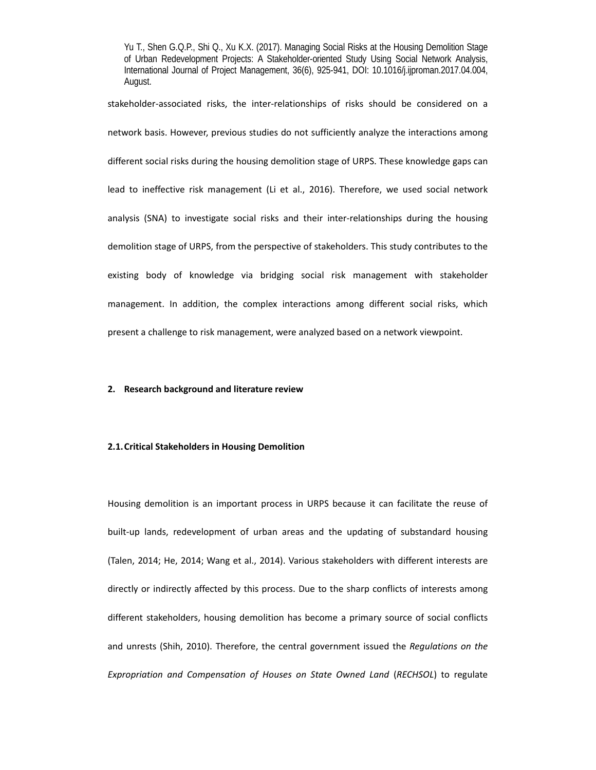stakeholder-associated risks, the inter-relationships of risks should be considered on a network basis. However, previous studies do not sufficiently analyze the interactions among different social risks during the housing demolition stage of URPS. These knowledge gaps can lead to ineffective risk management (Li et al., 2016). Therefore, we used social network analysis (SNA) to investigate social risks and their inter-relationships during the housing demolition stage of URPS, from the perspective of stakeholders. This study contributes to the existing body of knowledge via bridging social risk management with stakeholder management. In addition, the complex interactions among different social risks, which present a challenge to risk management, were analyzed based on a network viewpoint.

# **2. Research background and literature review**

# **2.1.Critical Stakeholders in Housing Demolition**

Housing demolition is an important process in URPS because it can facilitate the reuse of built-up lands, redevelopment of urban areas and the updating of substandard housing (Talen, 2014; He, 2014; Wang et al., 2014). Various stakeholders with different interests are directly or indirectly affected by this process. Due to the sharp conflicts of interests among different stakeholders, housing demolition has become a primary source of social conflicts and unrests (Shih, 2010). Therefore, the central government issued the *Regulations on the Expropriation and Compensation of Houses on State Owned Land* (*RECHSOL*) to regulate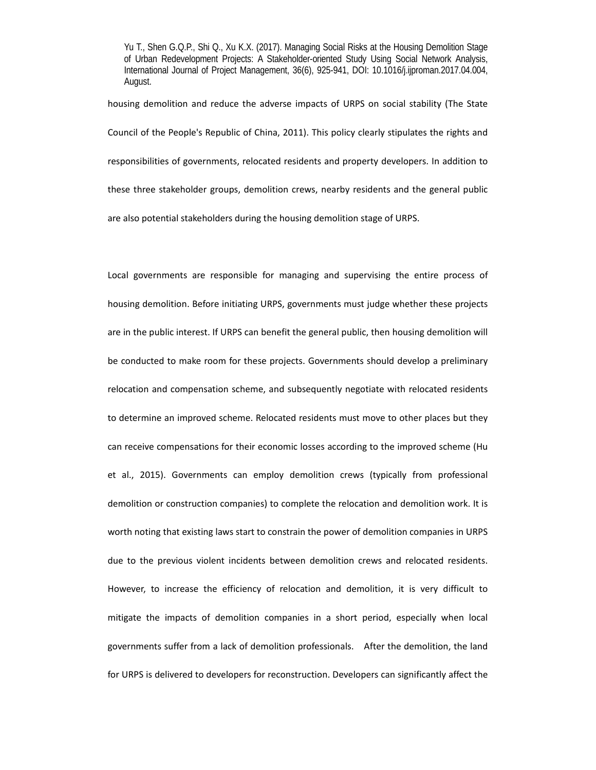housing demolition and reduce the adverse impacts of URPS on social stability (The State Council of the People's Republic of China, 2011). This policy clearly stipulates the rights and responsibilities of governments, relocated residents and property developers. In addition to these three stakeholder groups, demolition crews, nearby residents and the general public are also potential stakeholders during the housing demolition stage of URPS.

Local governments are responsible for managing and supervising the entire process of housing demolition. Before initiating URPS, governments must judge whether these projects are in the public interest. If URPS can benefit the general public, then housing demolition will be conducted to make room for these projects. Governments should develop a preliminary relocation and compensation scheme, and subsequently negotiate with relocated residents to determine an improved scheme. Relocated residents must move to other places but they can receive compensations for their economic losses according to the improved scheme (Hu et al., 2015). Governments can employ demolition crews (typically from professional demolition or construction companies) to complete the relocation and demolition work. It is worth noting that existing laws start to constrain the power of demolition companies in URPS due to the previous violent incidents between demolition crews and relocated residents. However, to increase the efficiency of relocation and demolition, it is very difficult to mitigate the impacts of demolition companies in a short period, especially when local governments suffer from a lack of demolition professionals. After the demolition, the land for URPS is delivered to developers for reconstruction. Developers can significantly affect the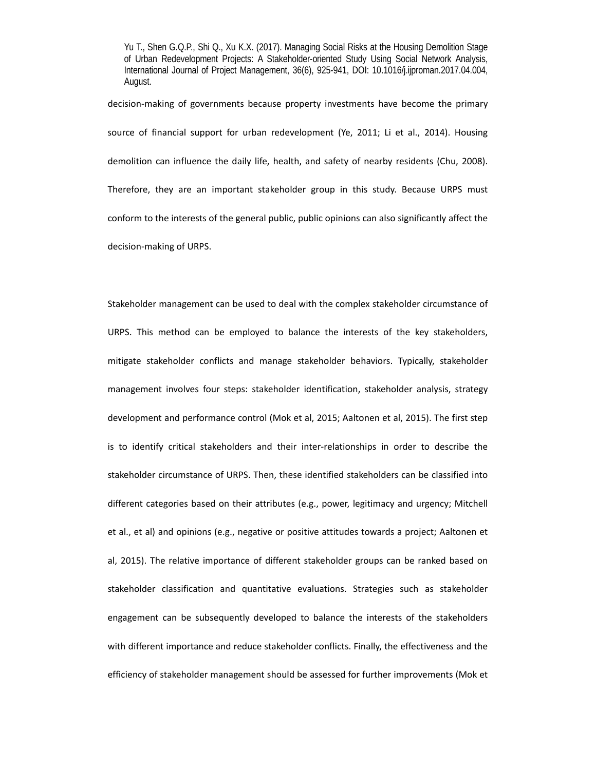decision‐making of governments because property investments have become the primary source of financial support for urban redevelopment (Ye, 2011; Li et al., 2014). Housing demolition can influence the daily life, health, and safety of nearby residents (Chu, 2008). Therefore, they are an important stakeholder group in this study. Because URPS must conform to the interests of the general public, public opinions can also significantly affect the decision‐making of URPS.

Stakeholder management can be used to deal with the complex stakeholder circumstance of URPS. This method can be employed to balance the interests of the key stakeholders, mitigate stakeholder conflicts and manage stakeholder behaviors. Typically, stakeholder management involves four steps: stakeholder identification, stakeholder analysis, strategy development and performance control (Mok et al, 2015; Aaltonen et al, 2015). The first step is to identify critical stakeholders and their inter‐relationships in order to describe the stakeholder circumstance of URPS. Then, these identified stakeholders can be classified into different categories based on their attributes (e.g., power, legitimacy and urgency; Mitchell et al., et al) and opinions (e.g., negative or positive attitudes towards a project; Aaltonen et al, 2015). The relative importance of different stakeholder groups can be ranked based on stakeholder classification and quantitative evaluations. Strategies such as stakeholder engagement can be subsequently developed to balance the interests of the stakeholders with different importance and reduce stakeholder conflicts. Finally, the effectiveness and the efficiency of stakeholder management should be assessed for further improvements (Mok et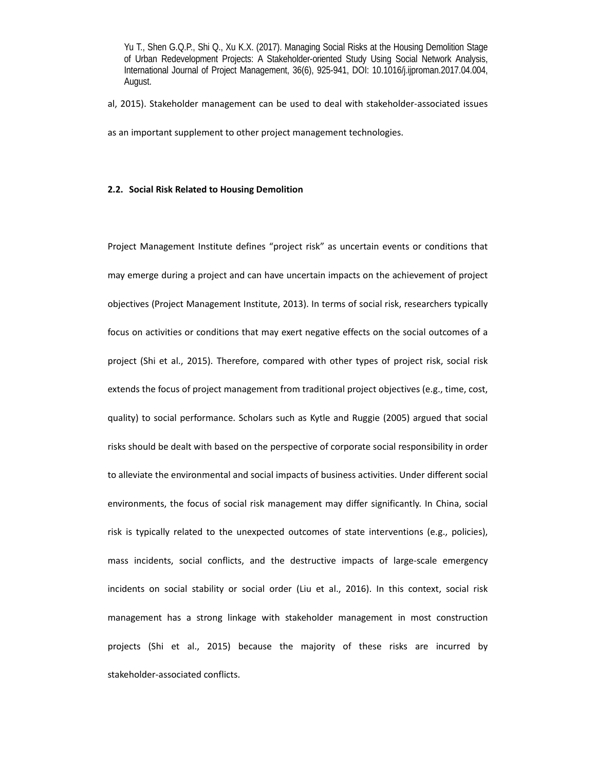al, 2015). Stakeholder management can be used to deal with stakeholder‐associated issues

as an important supplement to other project management technologies.

# **2.2. Social Risk Related to Housing Demolition**

Project Management Institute defines "project risk" as uncertain events or conditions that may emerge during a project and can have uncertain impacts on the achievement of project objectives (Project Management Institute, 2013). In terms of social risk, researchers typically focus on activities or conditions that may exert negative effects on the social outcomes of a project (Shi et al., 2015). Therefore, compared with other types of project risk, social risk extends the focus of project management from traditional project objectives (e.g., time, cost, quality) to social performance. Scholars such as Kytle and Ruggie (2005) argued that social risks should be dealt with based on the perspective of corporate social responsibility in order to alleviate the environmental and social impacts of business activities. Under different social environments, the focus of social risk management may differ significantly. In China, social risk is typically related to the unexpected outcomes of state interventions (e.g., policies), mass incidents, social conflicts, and the destructive impacts of large-scale emergency incidents on social stability or social order (Liu et al., 2016). In this context, social risk management has a strong linkage with stakeholder management in most construction projects (Shi et al., 2015) because the majority of these risks are incurred by stakeholder‐associated conflicts.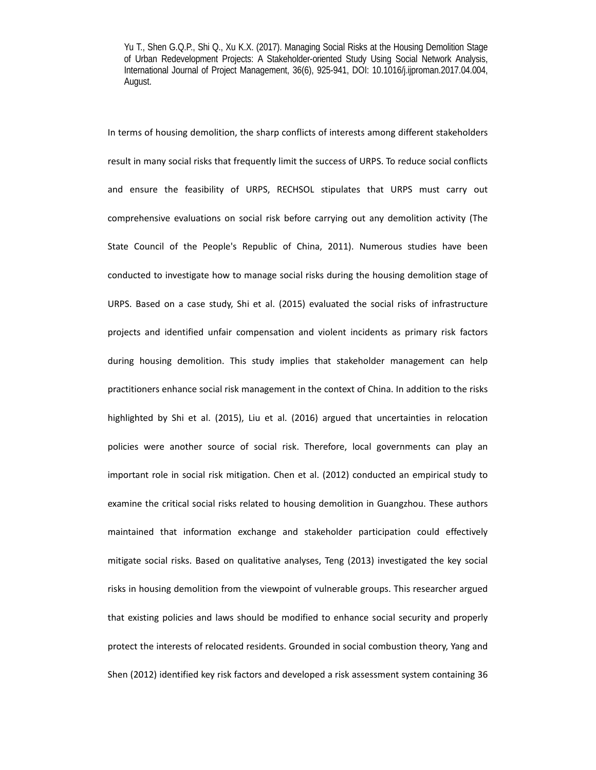In terms of housing demolition, the sharp conflicts of interests among different stakeholders result in many social risks that frequently limit the success of URPS. To reduce social conflicts and ensure the feasibility of URPS, RECHSOL stipulates that URPS must carry out comprehensive evaluations on social risk before carrying out any demolition activity (The State Council of the People's Republic of China, 2011). Numerous studies have been conducted to investigate how to manage social risks during the housing demolition stage of URPS. Based on a case study, Shi et al. (2015) evaluated the social risks of infrastructure projects and identified unfair compensation and violent incidents as primary risk factors during housing demolition. This study implies that stakeholder management can help practitioners enhance social risk management in the context of China. In addition to the risks highlighted by Shi et al. (2015), Liu et al. (2016) argued that uncertainties in relocation policies were another source of social risk. Therefore, local governments can play an important role in social risk mitigation. Chen et al. (2012) conducted an empirical study to examine the critical social risks related to housing demolition in Guangzhou. These authors maintained that information exchange and stakeholder participation could effectively mitigate social risks. Based on qualitative analyses, Teng (2013) investigated the key social risks in housing demolition from the viewpoint of vulnerable groups. This researcher argued that existing policies and laws should be modified to enhance social security and properly protect the interests of relocated residents. Grounded in social combustion theory, Yang and Shen (2012) identified key risk factors and developed a risk assessment system containing 36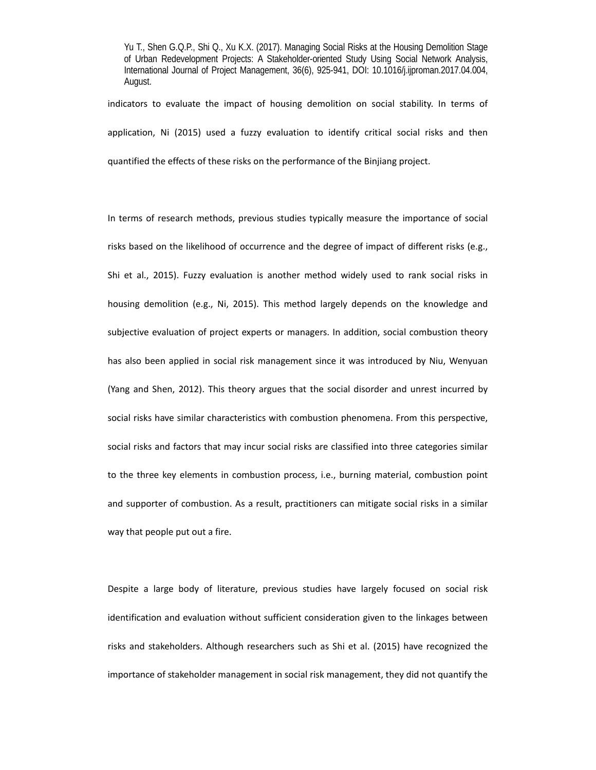indicators to evaluate the impact of housing demolition on social stability. In terms of application, Ni (2015) used a fuzzy evaluation to identify critical social risks and then quantified the effects of these risks on the performance of the Binjiang project.

In terms of research methods, previous studies typically measure the importance of social risks based on the likelihood of occurrence and the degree of impact of different risks (e.g., Shi et al., 2015). Fuzzy evaluation is another method widely used to rank social risks in housing demolition (e.g., Ni, 2015). This method largely depends on the knowledge and subjective evaluation of project experts or managers. In addition, social combustion theory has also been applied in social risk management since it was introduced by Niu, Wenyuan (Yang and Shen, 2012). This theory argues that the social disorder and unrest incurred by social risks have similar characteristics with combustion phenomena. From this perspective, social risks and factors that may incur social risks are classified into three categories similar to the three key elements in combustion process, i.e., burning material, combustion point and supporter of combustion. As a result, practitioners can mitigate social risks in a similar way that people put out a fire.

Despite a large body of literature, previous studies have largely focused on social risk identification and evaluation without sufficient consideration given to the linkages between risks and stakeholders. Although researchers such as Shi et al. (2015) have recognized the importance of stakeholder management in social risk management, they did not quantify the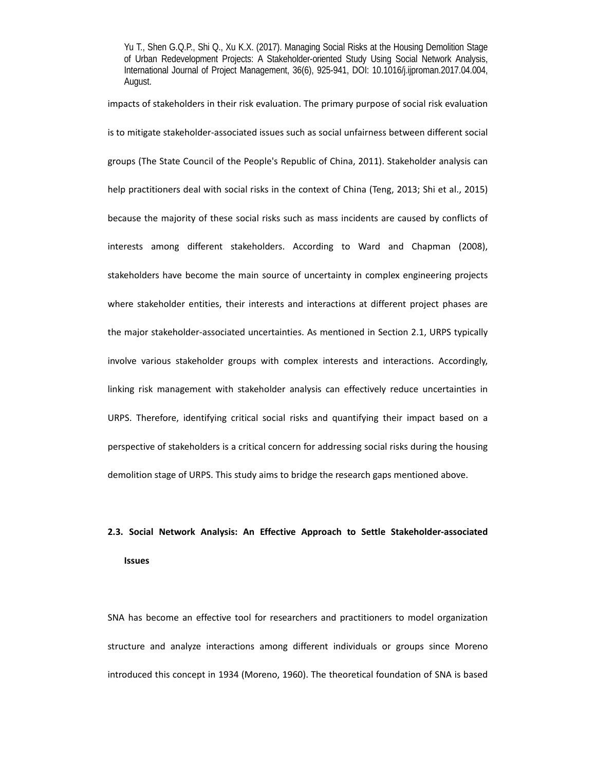impacts of stakeholders in their risk evaluation. The primary purpose of social risk evaluation is to mitigate stakeholder‐associated issues such as social unfairness between different social groups (The State Council of the People's Republic of China, 2011). Stakeholder analysis can help practitioners deal with social risks in the context of China (Teng, 2013; Shi et al., 2015) because the majority of these social risks such as mass incidents are caused by conflicts of interests among different stakeholders. According to Ward and Chapman (2008), stakeholders have become the main source of uncertainty in complex engineering projects where stakeholder entities, their interests and interactions at different project phases are the major stakeholder‐associated uncertainties. As mentioned in Section 2.1, URPS typically involve various stakeholder groups with complex interests and interactions. Accordingly, linking risk management with stakeholder analysis can effectively reduce uncertainties in URPS. Therefore, identifying critical social risks and quantifying their impact based on a perspective of stakeholders is a critical concern for addressing social risks during the housing demolition stage of URPS. This study aims to bridge the research gaps mentioned above.

# **2.3. Social Network Analysis: An Effective Approach to Settle Stakeholder‐associated Issues**

SNA has become an effective tool for researchers and practitioners to model organization structure and analyze interactions among different individuals or groups since Moreno introduced this concept in 1934 (Moreno, 1960). The theoretical foundation of SNA is based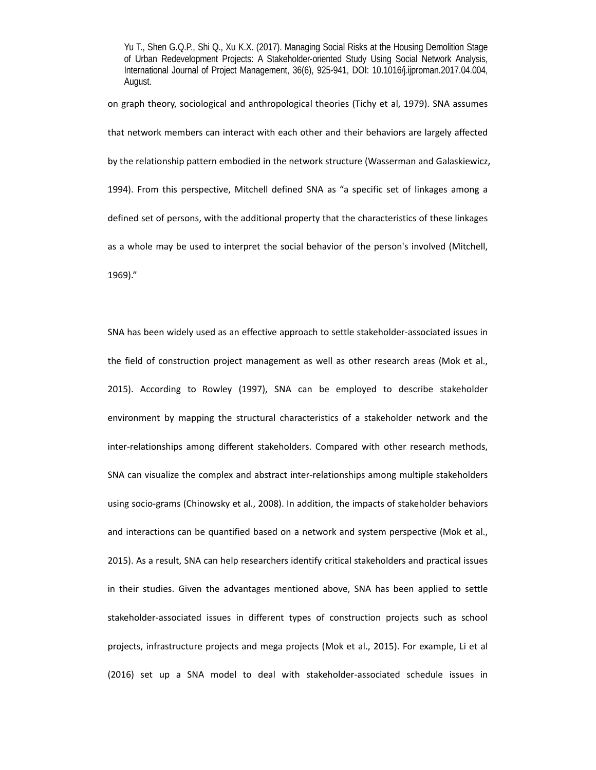on graph theory, sociological and anthropological theories (Tichy et al, 1979). SNA assumes that network members can interact with each other and their behaviors are largely affected by the relationship pattern embodied in the network structure (Wasserman and Galaskiewicz, 1994). From this perspective, Mitchell defined SNA as "a specific set of linkages among a defined set of persons, with the additional property that the characteristics of these linkages as a whole may be used to interpret the social behavior of the person's involved (Mitchell, 1969)."

SNA has been widely used as an effective approach to settle stakeholder‐associated issues in the field of construction project management as well as other research areas (Mok et al., 2015). According to Rowley (1997), SNA can be employed to describe stakeholder environment by mapping the structural characteristics of a stakeholder network and the inter-relationships among different stakeholders. Compared with other research methods, SNA can visualize the complex and abstract inter-relationships among multiple stakeholders using socio‐grams (Chinowsky et al., 2008). In addition, the impacts of stakeholder behaviors and interactions can be quantified based on a network and system perspective (Mok et al., 2015). As a result, SNA can help researchers identify critical stakeholders and practical issues in their studies. Given the advantages mentioned above, SNA has been applied to settle stakeholder‐associated issues in different types of construction projects such as school projects, infrastructure projects and mega projects (Mok et al., 2015). For example, Li et al (2016) set up a SNA model to deal with stakeholder‐associated schedule issues in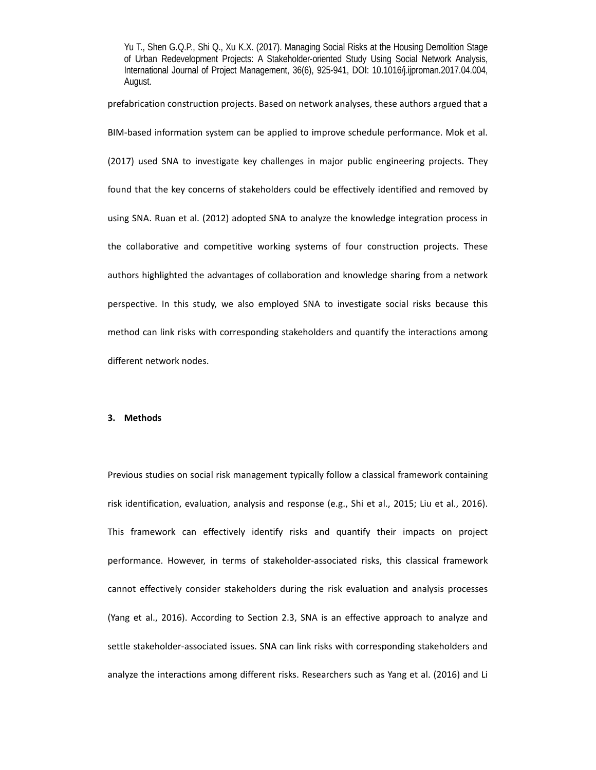prefabrication construction projects. Based on network analyses, these authors argued that a BIM‐based information system can be applied to improve schedule performance. Mok et al. (2017) used SNA to investigate key challenges in major public engineering projects. They found that the key concerns of stakeholders could be effectively identified and removed by using SNA. Ruan et al. (2012) adopted SNA to analyze the knowledge integration process in the collaborative and competitive working systems of four construction projects. These authors highlighted the advantages of collaboration and knowledge sharing from a network perspective. In this study, we also employed SNA to investigate social risks because this method can link risks with corresponding stakeholders and quantify the interactions among different network nodes.

### **3. Methods**

Previous studies on social risk management typically follow a classical framework containing risk identification, evaluation, analysis and response (e.g., Shi et al., 2015; Liu et al., 2016). This framework can effectively identify risks and quantify their impacts on project performance. However, in terms of stakeholder-associated risks, this classical framework cannot effectively consider stakeholders during the risk evaluation and analysis processes (Yang et al., 2016). According to Section 2.3, SNA is an effective approach to analyze and settle stakeholder‐associated issues. SNA can link risks with corresponding stakeholders and analyze the interactions among different risks. Researchers such as Yang et al. (2016) and Li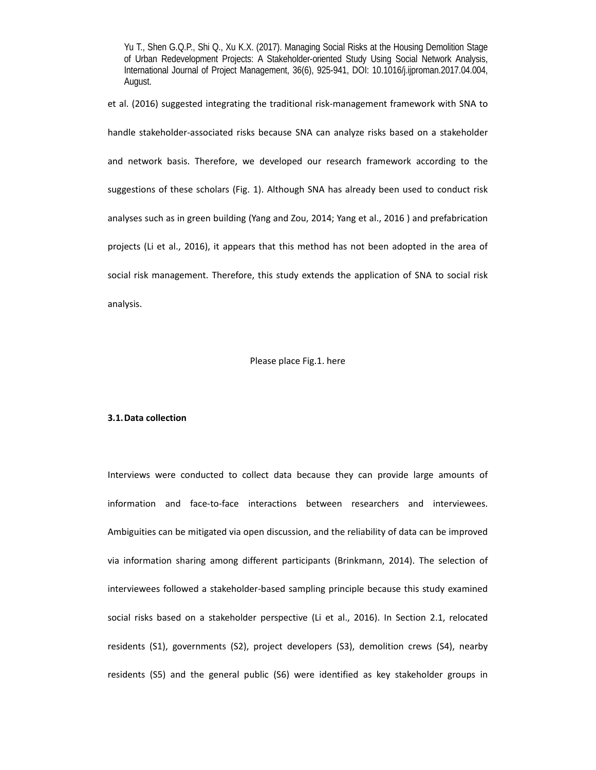et al. (2016) suggested integrating the traditional risk‐management framework with SNA to handle stakeholder-associated risks because SNA can analyze risks based on a stakeholder and network basis. Therefore, we developed our research framework according to the suggestions of these scholars (Fig. 1). Although SNA has already been used to conduct risk analyses such as in green building (Yang and Zou, 2014; Yang et al., 2016 ) and prefabrication projects (Li et al., 2016), it appears that this method has not been adopted in the area of social risk management. Therefore, this study extends the application of SNA to social risk analysis.

#### Please place Fig.1. here

### **3.1.Data collection**

Interviews were conducted to collect data because they can provide large amounts of information and face‐to‐face interactions between researchers and interviewees. Ambiguities can be mitigated via open discussion, and the reliability of data can be improved via information sharing among different participants (Brinkmann, 2014). The selection of interviewees followed a stakeholder‐based sampling principle because this study examined social risks based on a stakeholder perspective (Li et al., 2016). In Section 2.1, relocated residents (S1), governments (S2), project developers (S3), demolition crews (S4), nearby residents (S5) and the general public (S6) were identified as key stakeholder groups in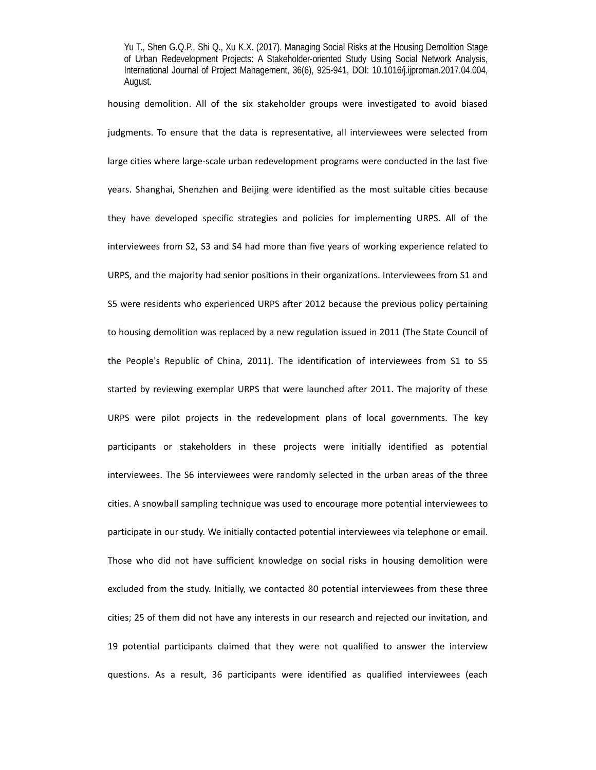housing demolition. All of the six stakeholder groups were investigated to avoid biased judgments. To ensure that the data is representative, all interviewees were selected from large cities where large‐scale urban redevelopment programs were conducted in the last five years. Shanghai, Shenzhen and Beijing were identified as the most suitable cities because they have developed specific strategies and policies for implementing URPS. All of the interviewees from S2, S3 and S4 had more than five years of working experience related to URPS, and the majority had senior positions in their organizations. Interviewees from S1 and S5 were residents who experienced URPS after 2012 because the previous policy pertaining to housing demolition was replaced by a new regulation issued in 2011 (The State Council of the People's Republic of China, 2011). The identification of interviewees from S1 to S5 started by reviewing exemplar URPS that were launched after 2011. The majority of these URPS were pilot projects in the redevelopment plans of local governments. The key participants or stakeholders in these projects were initially identified as potential interviewees. The S6 interviewees were randomly selected in the urban areas of the three cities. A snowball sampling technique was used to encourage more potential interviewees to participate in our study. We initially contacted potential interviewees via telephone or email. Those who did not have sufficient knowledge on social risks in housing demolition were excluded from the study. Initially, we contacted 80 potential interviewees from these three cities; 25 of them did not have any interests in our research and rejected our invitation, and 19 potential participants claimed that they were not qualified to answer the interview questions. As a result, 36 participants were identified as qualified interviewees (each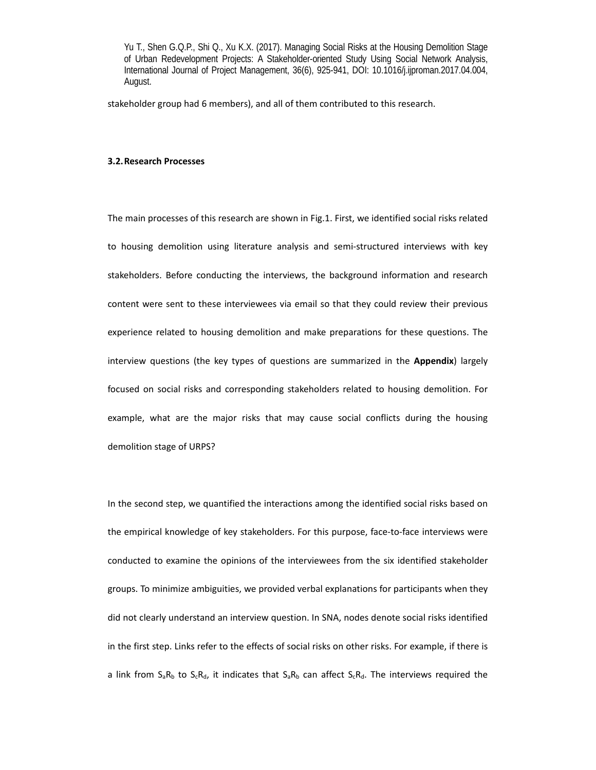stakeholder group had 6 members), and all of them contributed to this research.

## **3.2.Research Processes**

The main processes of this research are shown in Fig.1. First, we identified social risks related to housing demolition using literature analysis and semi-structured interviews with key stakeholders. Before conducting the interviews, the background information and research content were sent to these interviewees via email so that they could review their previous experience related to housing demolition and make preparations for these questions. The interview questions (the key types of questions are summarized in the **Appendix**) largely focused on social risks and corresponding stakeholders related to housing demolition. For example, what are the major risks that may cause social conflicts during the housing demolition stage of URPS?

In the second step, we quantified the interactions among the identified social risks based on the empirical knowledge of key stakeholders. For this purpose, face‐to‐face interviews were conducted to examine the opinions of the interviewees from the six identified stakeholder groups. To minimize ambiguities, we provided verbal explanations for participants when they did not clearly understand an interview question. In SNA, nodes denote social risks identified in the first step. Links refer to the effects of social risks on other risks. For example, if there is a link from  $S_aR_b$  to  $S_cR_d$ , it indicates that  $S_aR_b$  can affect  $S_cR_d$ . The interviews required the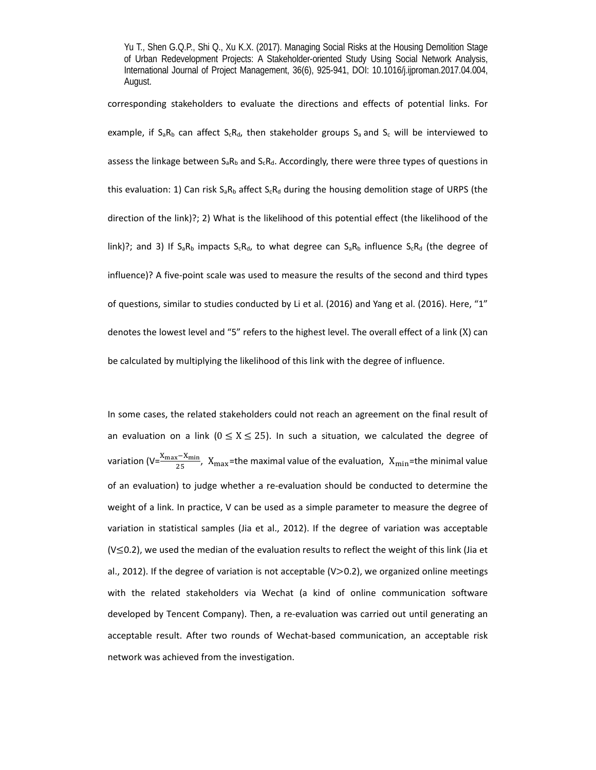corresponding stakeholders to evaluate the directions and effects of potential links. For example, if  $S_aR_b$  can affect  $S_cR_d$ , then stakeholder groups  $S_a$  and  $S_c$  will be interviewed to assess the linkage between  $S_aR_b$  and  $S_cR_d$ . Accordingly, there were three types of questions in this evaluation: 1) Can risk  $S_aR_b$  affect  $S_cR_d$  during the housing demolition stage of URPS (the direction of the link)?; 2) What is the likelihood of this potential effect (the likelihood of the link)?; and 3) If  $S_aR_b$  impacts  $S_cR_d$ , to what degree can  $S_aR_b$  influence  $S_cR_d$  (the degree of influence)? A five‐point scale was used to measure the results of the second and third types of questions, similar to studies conducted by Li et al. (2016) and Yang et al. (2016). Here, "1" denotes the lowest level and "5" refers to the highest level. The overall effect of a link (X) can be calculated by multiplying the likelihood of this link with the degree of influence.

In some cases, the related stakeholders could not reach an agreement on the final result of an evaluation on a link  $(0 \le X \le 25)$ . In such a situation, we calculated the degree of variation (V= $\frac{X_{\max}-X_{\min}}{25}$ ,  $X_{\max}$ =the maximal value of the evaluation,  $X_{\min}$ =the minimal value of an evaluation) to judge whether a re-evaluation should be conducted to determine the weight of a link. In practice, V can be used as a simple parameter to measure the degree of variation in statistical samples (Jia et al., 2012). If the degree of variation was acceptable  $(V \le 0.2)$ , we used the median of the evaluation results to reflect the weight of this link (Jia et al., 2012). If the degree of variation is not acceptable  $(V>0.2)$ , we organized online meetings with the related stakeholders via Wechat (a kind of online communication software developed by Tencent Company). Then, a re‐evaluation was carried out until generating an acceptable result. After two rounds of Wechat‐based communication, an acceptable risk network was achieved from the investigation.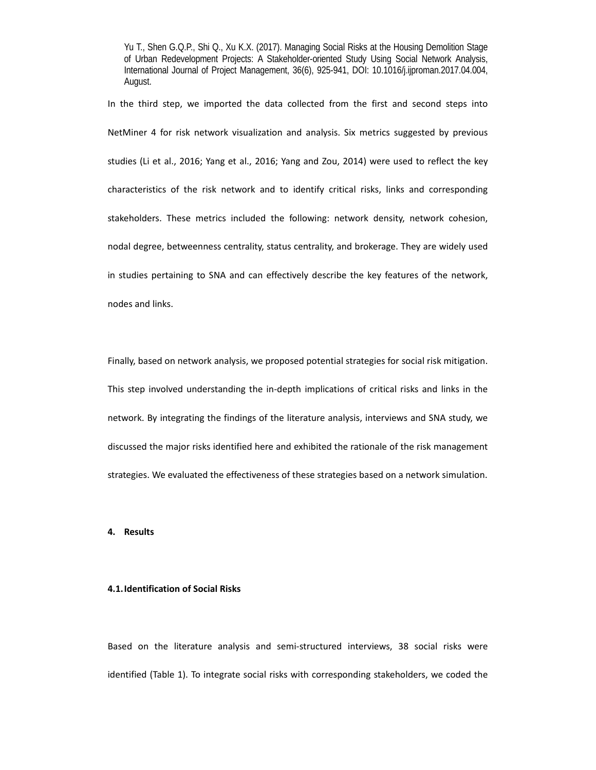In the third step, we imported the data collected from the first and second steps into NetMiner 4 for risk network visualization and analysis. Six metrics suggested by previous studies (Li et al., 2016; Yang et al., 2016; Yang and Zou, 2014) were used to reflect the key characteristics of the risk network and to identify critical risks, links and corresponding stakeholders. These metrics included the following: network density, network cohesion, nodal degree, betweenness centrality, status centrality, and brokerage. They are widely used in studies pertaining to SNA and can effectively describe the key features of the network, nodes and links.

Finally, based on network analysis, we proposed potential strategies for social risk mitigation. This step involved understanding the in-depth implications of critical risks and links in the network. By integrating the findings of the literature analysis, interviews and SNA study, we discussed the major risks identified here and exhibited the rationale of the risk management strategies. We evaluated the effectiveness of these strategies based on a network simulation.

# **4. Results**

# **4.1.Identification of Social Risks**

Based on the literature analysis and semi-structured interviews, 38 social risks were identified (Table 1). To integrate social risks with corresponding stakeholders, we coded the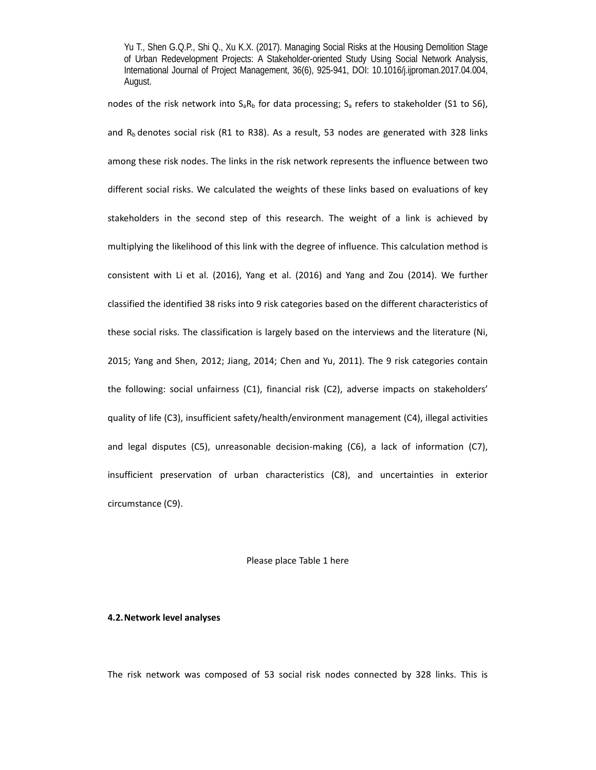nodes of the risk network into  $S_aR_b$  for data processing;  $S_a$  refers to stakeholder (S1 to S6), and  $R_b$  denotes social risk (R1 to R38). As a result, 53 nodes are generated with 328 links among these risk nodes. The links in the risk network represents the influence between two different social risks. We calculated the weights of these links based on evaluations of key stakeholders in the second step of this research. The weight of a link is achieved by multiplying the likelihood of this link with the degree of influence. This calculation method is consistent with Li et al. (2016), Yang et al. (2016) and Yang and Zou (2014). We further classified the identified 38 risks into 9 risk categories based on the different characteristics of these social risks. The classification is largely based on the interviews and the literature (Ni, 2015; Yang and Shen, 2012; Jiang, 2014; Chen and Yu, 2011). The 9 risk categories contain the following: social unfairness (C1), financial risk (C2), adverse impacts on stakeholders' quality of life (C3), insufficient safety/health/environment management (C4), illegal activities and legal disputes (C5), unreasonable decision-making (C6), a lack of information (C7), insufficient preservation of urban characteristics (C8), and uncertainties in exterior circumstance (C9).

# Please place Table 1 here

#### **4.2.Network level analyses**

The risk network was composed of 53 social risk nodes connected by 328 links. This is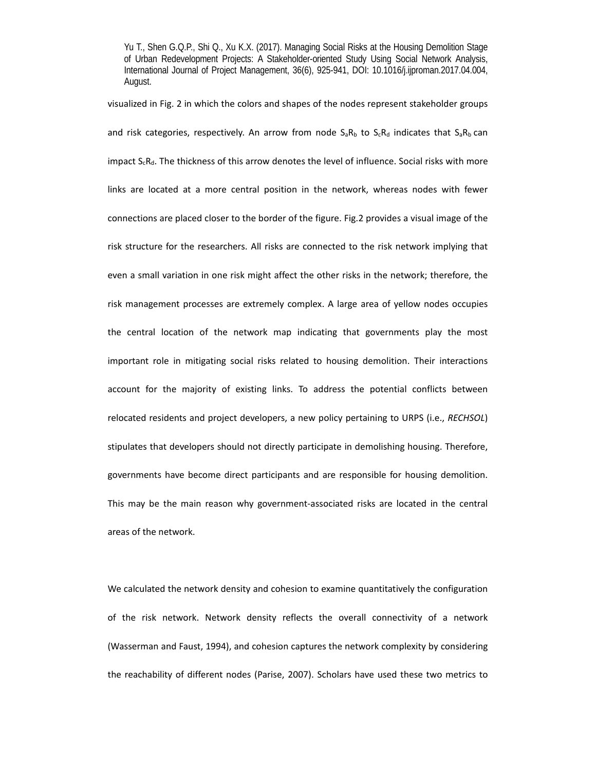visualized in Fig. 2 in which the colors and shapes of the nodes represent stakeholder groups and risk categories, respectively. An arrow from node  $S_aR_b$  to  $S_cR_d$  indicates that  $S_aR_b$  can impact  $S_cR_d$ . The thickness of this arrow denotes the level of influence. Social risks with more links are located at a more central position in the network, whereas nodes with fewer connections are placed closer to the border of the figure. Fig.2 provides a visual image of the risk structure for the researchers. All risks are connected to the risk network implying that even a small variation in one risk might affect the other risks in the network; therefore, the risk management processes are extremely complex. A large area of yellow nodes occupies the central location of the network map indicating that governments play the most important role in mitigating social risks related to housing demolition. Their interactions account for the majority of existing links. To address the potential conflicts between relocated residents and project developers, a new policy pertaining to URPS (i.e., *RECHSOL*) stipulates that developers should not directly participate in demolishing housing. Therefore, governments have become direct participants and are responsible for housing demolition. This may be the main reason why government-associated risks are located in the central areas of the network.

We calculated the network density and cohesion to examine quantitatively the configuration of the risk network. Network density reflects the overall connectivity of a network (Wasserman and Faust, 1994), and cohesion captures the network complexity by considering the reachability of different nodes (Parise, 2007). Scholars have used these two metrics to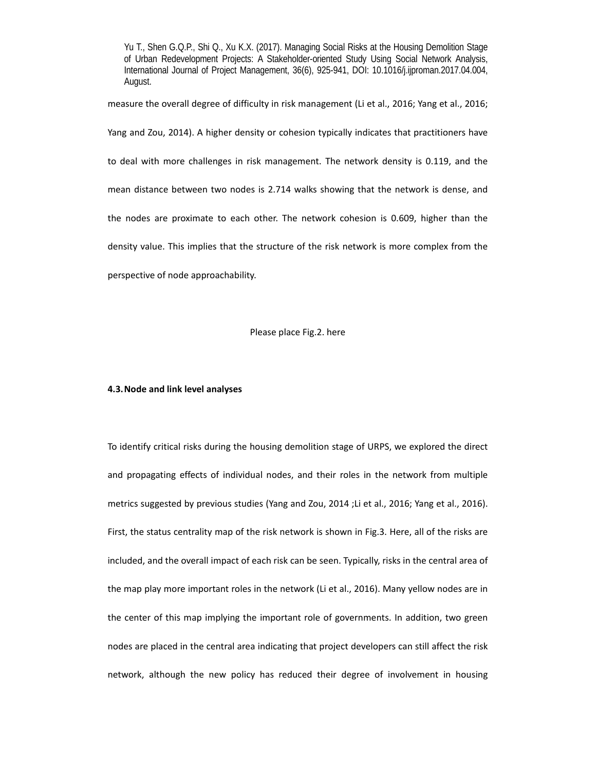measure the overall degree of difficulty in risk management (Li et al., 2016; Yang et al., 2016;

Yang and Zou, 2014). A higher density or cohesion typically indicates that practitioners have to deal with more challenges in risk management. The network density is 0.119, and the

mean distance between two nodes is 2.714 walks showing that the network is dense, and

the nodes are proximate to each other. The network cohesion is 0.609, higher than the

density value. This implies that the structure of the risk network is more complex from the

perspective of node approachability.

Please place Fig.2. here

#### **4.3.Node and link level analyses**

To identify critical risks during the housing demolition stage of URPS, we explored the direct and propagating effects of individual nodes, and their roles in the network from multiple metrics suggested by previous studies (Yang and Zou, 2014 ;Li et al., 2016; Yang et al., 2016). First, the status centrality map of the risk network is shown in Fig.3. Here, all of the risks are included, and the overall impact of each risk can be seen. Typically, risks in the central area of the map play more important roles in the network (Li et al., 2016). Many yellow nodes are in the center of this map implying the important role of governments. In addition, two green nodes are placed in the central area indicating that project developers can still affect the risk network, although the new policy has reduced their degree of involvement in housing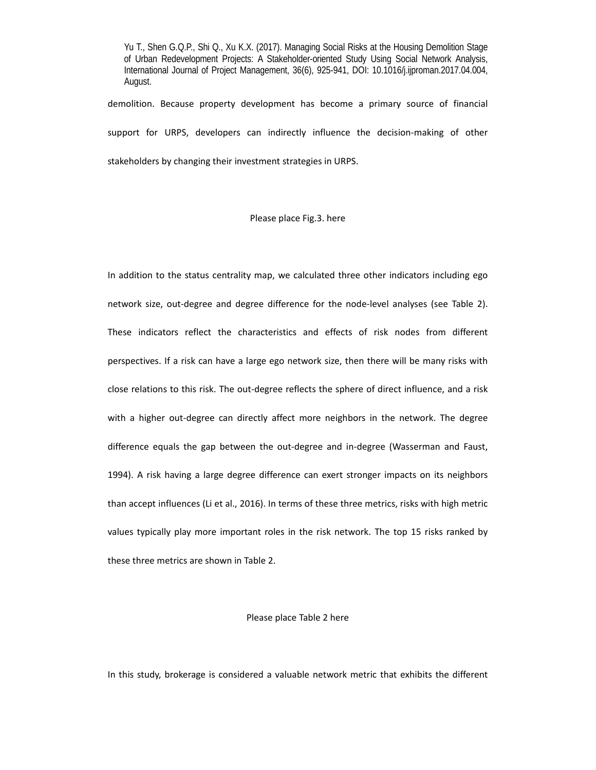demolition. Because property development has become a primary source of financial support for URPS, developers can indirectly influence the decision-making of other stakeholders by changing their investment strategies in URPS.

# Please place Fig.3. here

In addition to the status centrality map, we calculated three other indicators including ego network size, out-degree and degree difference for the node-level analyses (see Table 2). These indicators reflect the characteristics and effects of risk nodes from different perspectives. If a risk can have a large ego network size, then there will be many risks with close relations to this risk. The out‐degree reflects the sphere of direct influence, and a risk with a higher out-degree can directly affect more neighbors in the network. The degree difference equals the gap between the out-degree and in-degree (Wasserman and Faust, 1994). A risk having a large degree difference can exert stronger impacts on its neighbors than accept influences (Li et al., 2016). In terms of these three metrics, risks with high metric values typically play more important roles in the risk network. The top 15 risks ranked by these three metrics are shown in Table 2.

#### Please place Table 2 here

In this study, brokerage is considered a valuable network metric that exhibits the different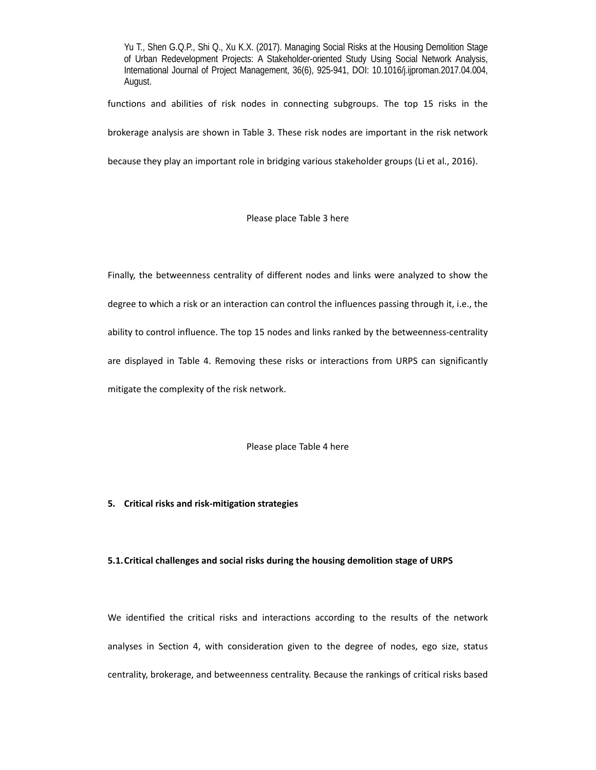functions and abilities of risk nodes in connecting subgroups. The top 15 risks in the

brokerage analysis are shown in Table 3. These risk nodes are important in the risk network

because they play an important role in bridging various stakeholder groups (Li et al., 2016).

Please place Table 3 here

Finally, the betweenness centrality of different nodes and links were analyzed to show the degree to which a risk or an interaction can control the influences passing through it, i.e., the ability to control influence. The top 15 nodes and links ranked by the betweenness-centrality are displayed in Table 4. Removing these risks or interactions from URPS can significantly mitigate the complexity of the risk network.

Please place Table 4 here

# **5. Critical risks and risk‐mitigation strategies**

# **5.1.Critical challenges and social risks during the housing demolition stage of URPS**

We identified the critical risks and interactions according to the results of the network analyses in Section 4, with consideration given to the degree of nodes, ego size, status centrality, brokerage, and betweenness centrality. Because the rankings of critical risks based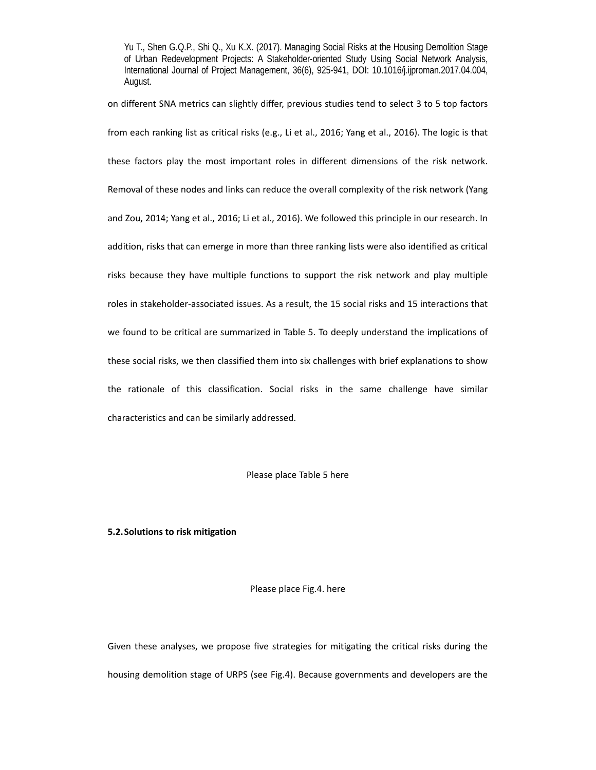on different SNA metrics can slightly differ, previous studies tend to select 3 to 5 top factors from each ranking list as critical risks (e.g., Li et al., 2016; Yang et al., 2016). The logic is that these factors play the most important roles in different dimensions of the risk network. Removal of these nodes and links can reduce the overall complexity of the risk network (Yang and Zou, 2014; Yang et al., 2016; Li et al., 2016). We followed this principle in our research. In addition, risks that can emerge in more than three ranking lists were also identified as critical risks because they have multiple functions to support the risk network and play multiple roles in stakeholder‐associated issues. As a result, the 15 social risks and 15 interactions that we found to be critical are summarized in Table 5. To deeply understand the implications of these social risks, we then classified them into six challenges with brief explanations to show the rationale of this classification. Social risks in the same challenge have similar characteristics and can be similarly addressed.

# Please place Table 5 here

# **5.2.Solutions to risk mitigation**

# Please place Fig.4. here

Given these analyses, we propose five strategies for mitigating the critical risks during the housing demolition stage of URPS (see Fig.4). Because governments and developers are the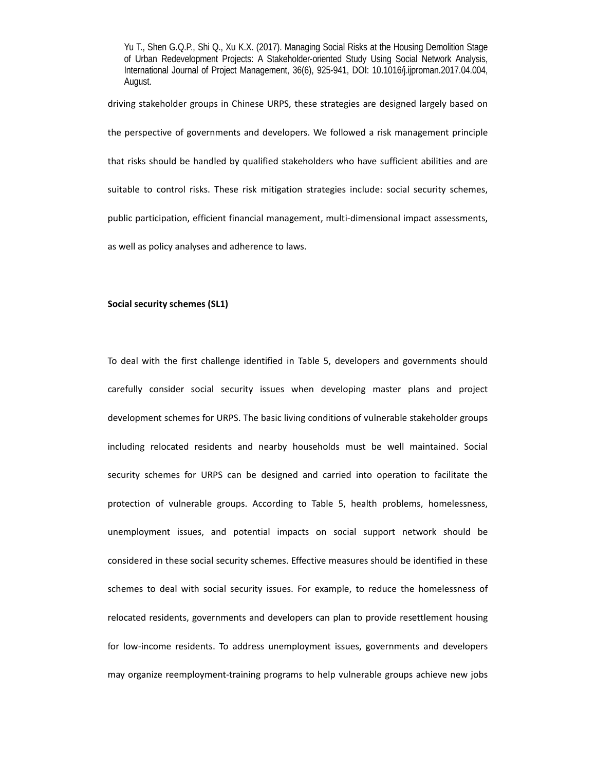driving stakeholder groups in Chinese URPS, these strategies are designed largely based on the perspective of governments and developers. We followed a risk management principle that risks should be handled by qualified stakeholders who have sufficient abilities and are suitable to control risks. These risk mitigation strategies include: social security schemes, public participation, efficient financial management, multi‐dimensional impact assessments, as well as policy analyses and adherence to laws.

# **Social security schemes (SL1)**

To deal with the first challenge identified in Table 5, developers and governments should carefully consider social security issues when developing master plans and project development schemes for URPS. The basic living conditions of vulnerable stakeholder groups including relocated residents and nearby households must be well maintained. Social security schemes for URPS can be designed and carried into operation to facilitate the protection of vulnerable groups. According to Table 5, health problems, homelessness, unemployment issues, and potential impacts on social support network should be considered in these social security schemes. Effective measures should be identified in these schemes to deal with social security issues. For example, to reduce the homelessness of relocated residents, governments and developers can plan to provide resettlement housing for low-income residents. To address unemployment issues, governments and developers may organize reemployment‐training programs to help vulnerable groups achieve new jobs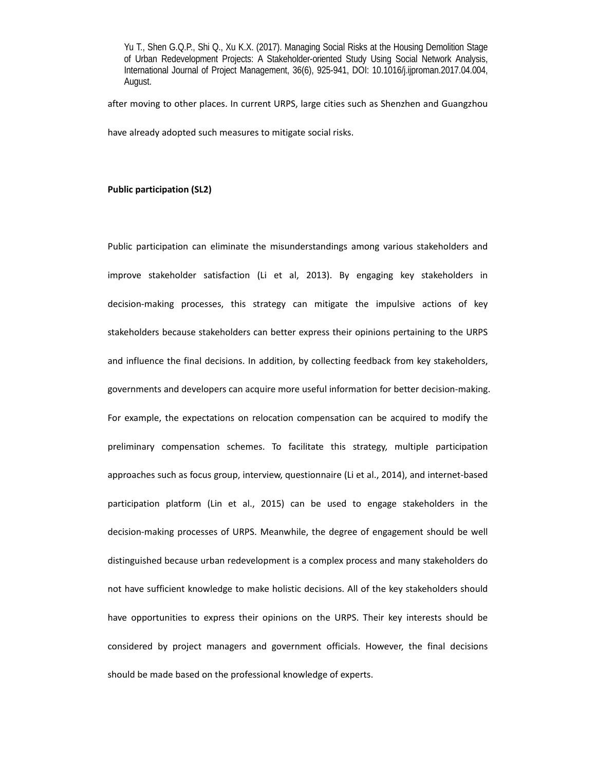after moving to other places. In current URPS, large cities such as Shenzhen and Guangzhou have already adopted such measures to mitigate social risks.

# **Public participation (SL2)**

Public participation can eliminate the misunderstandings among various stakeholders and improve stakeholder satisfaction (Li et al, 2013). By engaging key stakeholders in decision‐making processes, this strategy can mitigate the impulsive actions of key stakeholders because stakeholders can better express their opinions pertaining to the URPS and influence the final decisions. In addition, by collecting feedback from key stakeholders, governments and developers can acquire more useful information for better decision‐making. For example, the expectations on relocation compensation can be acquired to modify the preliminary compensation schemes. To facilitate this strategy, multiple participation approaches such as focus group, interview, questionnaire (Li et al., 2014), and internet-based participation platform (Lin et al., 2015) can be used to engage stakeholders in the decision‐making processes of URPS. Meanwhile, the degree of engagement should be well distinguished because urban redevelopment is a complex process and many stakeholders do not have sufficient knowledge to make holistic decisions. All of the key stakeholders should have opportunities to express their opinions on the URPS. Their key interests should be considered by project managers and government officials. However, the final decisions should be made based on the professional knowledge of experts.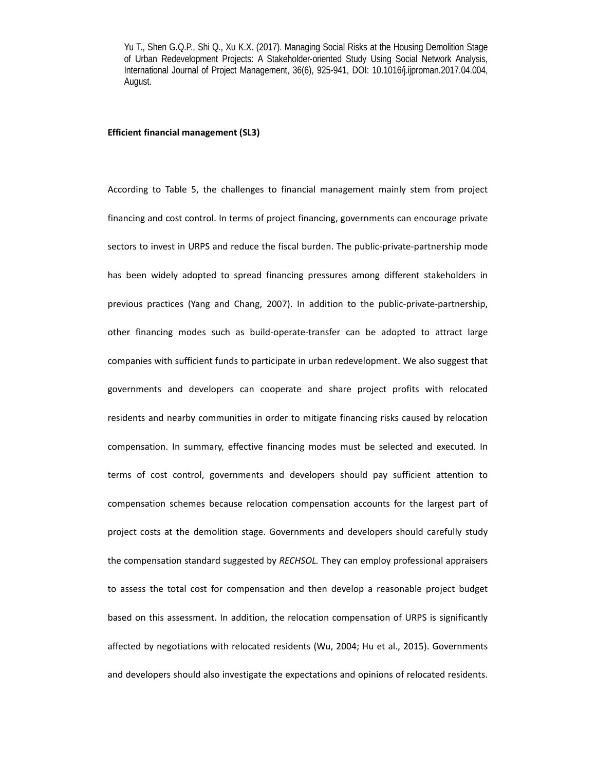# **Efficient financial management (SL3)**

According to Table 5, the challenges to financial management mainly stem from project financing and cost control. In terms of project financing, governments can encourage private sectors to invest in URPS and reduce the fiscal burden. The public-private-partnership mode has been widely adopted to spread financing pressures among different stakeholders in previous practices (Yang and Chang, 2007). In addition to the public-private-partnership, other financing modes such as build‐operate‐transfer can be adopted to attract large companies with sufficient funds to participate in urban redevelopment. We also suggest that governments and developers can cooperate and share project profits with relocated residents and nearby communities in order to mitigate financing risks caused by relocation compensation. In summary, effective financing modes must be selected and executed. In terms of cost control, governments and developers should pay sufficient attention to compensation schemes because relocation compensation accounts for the largest part of project costs at the demolition stage. Governments and developers should carefully study the compensation standard suggested by *RECHSOL.* They can employ professional appraisers to assess the total cost for compensation and then develop a reasonable project budget based on this assessment. In addition, the relocation compensation of URPS is significantly affected by negotiations with relocated residents (Wu, 2004; Hu et al., 2015). Governments and developers should also investigate the expectations and opinions of relocated residents.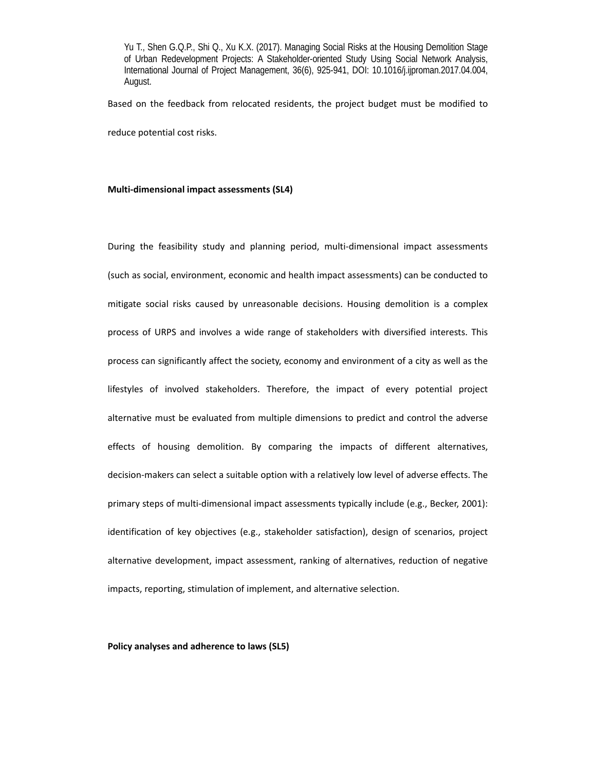Based on the feedback from relocated residents, the project budget must be modified to reduce potential cost risks.

### **Multi‐dimensional impact assessments (SL4)**

During the feasibility study and planning period, multi-dimensional impact assessments (such as social, environment, economic and health impact assessments) can be conducted to mitigate social risks caused by unreasonable decisions. Housing demolition is a complex process of URPS and involves a wide range of stakeholders with diversified interests. This process can significantly affect the society, economy and environment of a city as well as the lifestyles of involved stakeholders. Therefore, the impact of every potential project alternative must be evaluated from multiple dimensions to predict and control the adverse effects of housing demolition. By comparing the impacts of different alternatives, decision‐makers can select a suitable option with a relatively low level of adverse effects. The primary steps of multi-dimensional impact assessments typically include (e.g., Becker, 2001): identification of key objectives (e.g., stakeholder satisfaction), design of scenarios, project alternative development, impact assessment, ranking of alternatives, reduction of negative impacts, reporting, stimulation of implement, and alternative selection.

#### **Policy analyses and adherence to laws (SL5)**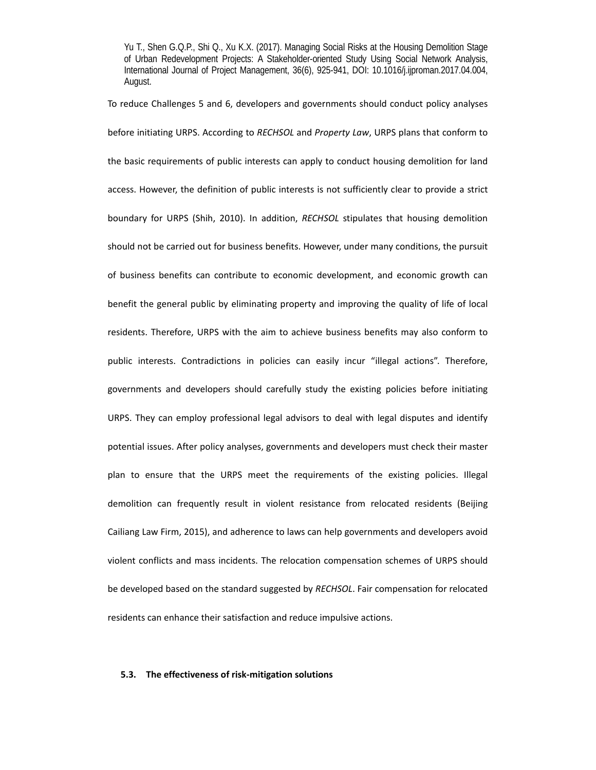To reduce Challenges 5 and 6, developers and governments should conduct policy analyses before initiating URPS. According to *RECHSOL* and *Property Law*, URPS plans that conform to the basic requirements of public interests can apply to conduct housing demolition for land access. However, the definition of public interests is not sufficiently clear to provide a strict boundary for URPS (Shih, 2010). In addition, RECHSOL stipulates that housing demolition should not be carried out for business benefits. However, under many conditions, the pursuit of business benefits can contribute to economic development, and economic growth can benefit the general public by eliminating property and improving the quality of life of local residents. Therefore, URPS with the aim to achieve business benefits may also conform to public interests. Contradictions in policies can easily incur "illegal actions". Therefore, governments and developers should carefully study the existing policies before initiating URPS. They can employ professional legal advisors to deal with legal disputes and identify potential issues. After policy analyses, governments and developers must check their master plan to ensure that the URPS meet the requirements of the existing policies. Illegal demolition can frequently result in violent resistance from relocated residents (Beijing Cailiang Law Firm, 2015), and adherence to laws can help governments and developers avoid violent conflicts and mass incidents. The relocation compensation schemes of URPS should be developed based on the standard suggested by *RECHSOL*. Fair compensation for relocated residents can enhance their satisfaction and reduce impulsive actions.

# **5.3. The effectiveness of risk‐mitigation solutions**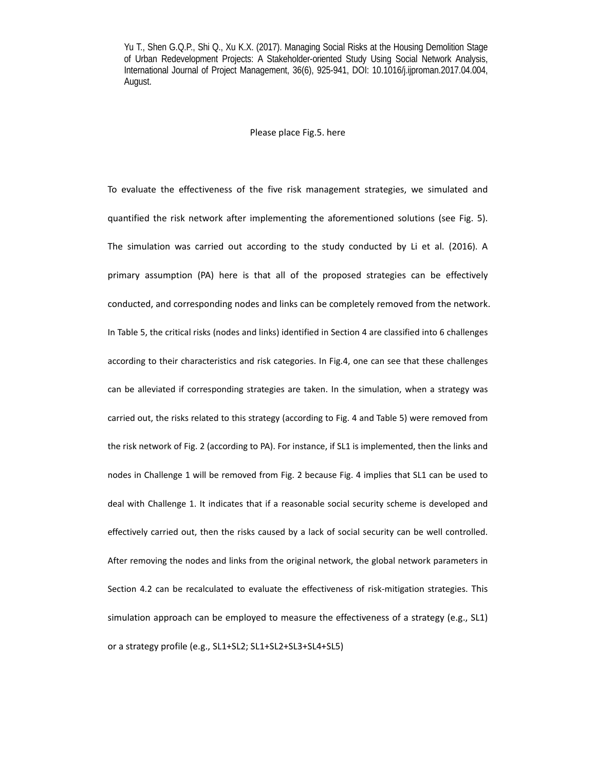# Please place Fig.5. here

To evaluate the effectiveness of the five risk management strategies, we simulated and quantified the risk network after implementing the aforementioned solutions (see Fig. 5). The simulation was carried out according to the study conducted by Li et al. (2016). A primary assumption (PA) here is that all of the proposed strategies can be effectively conducted, and corresponding nodes and links can be completely removed from the network. In Table 5, the critical risks (nodes and links) identified in Section 4 are classified into 6 challenges according to their characteristics and risk categories. In Fig.4, one can see that these challenges can be alleviated if corresponding strategies are taken. In the simulation, when a strategy was carried out, the risks related to this strategy (according to Fig. 4 and Table 5) were removed from the risk network of Fig. 2 (according to PA). For instance, if SL1 is implemented, then the links and nodes in Challenge 1 will be removed from Fig. 2 because Fig. 4 implies that SL1 can be used to deal with Challenge 1. It indicates that if a reasonable social security scheme is developed and effectively carried out, then the risks caused by a lack of social security can be well controlled. After removing the nodes and links from the original network, the global network parameters in Section 4.2 can be recalculated to evaluate the effectiveness of risk-mitigation strategies. This simulation approach can be employed to measure the effectiveness of a strategy (e.g., SL1) or a strategy profile (e.g., SL1+SL2; SL1+SL2+SL3+SL4+SL5)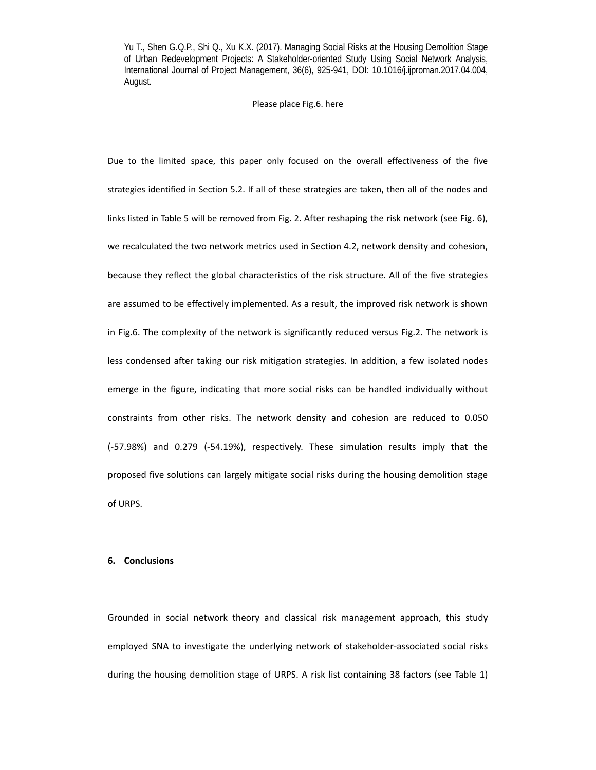#### Please place Fig.6. here

Due to the limited space, this paper only focused on the overall effectiveness of the five strategies identified in Section 5.2. If all of these strategies are taken, then all of the nodes and links listed in Table 5 will be removed from Fig. 2. After reshaping the risk network (see Fig. 6), we recalculated the two network metrics used in Section 4.2, network density and cohesion, because they reflect the global characteristics of the risk structure. All of the five strategies are assumed to be effectively implemented. As a result, the improved risk network is shown in Fig.6. The complexity of the network is significantly reduced versus Fig.2. The network is less condensed after taking our risk mitigation strategies. In addition, a few isolated nodes emerge in the figure, indicating that more social risks can be handled individually without constraints from other risks. The network density and cohesion are reduced to 0.050 (‐57.98%) and 0.279 (‐54.19%), respectively. These simulation results imply that the proposed five solutions can largely mitigate social risks during the housing demolition stage of URPS.

# **6. Conclusions**

Grounded in social network theory and classical risk management approach, this study employed SNA to investigate the underlying network of stakeholder-associated social risks during the housing demolition stage of URPS. A risk list containing 38 factors (see Table 1)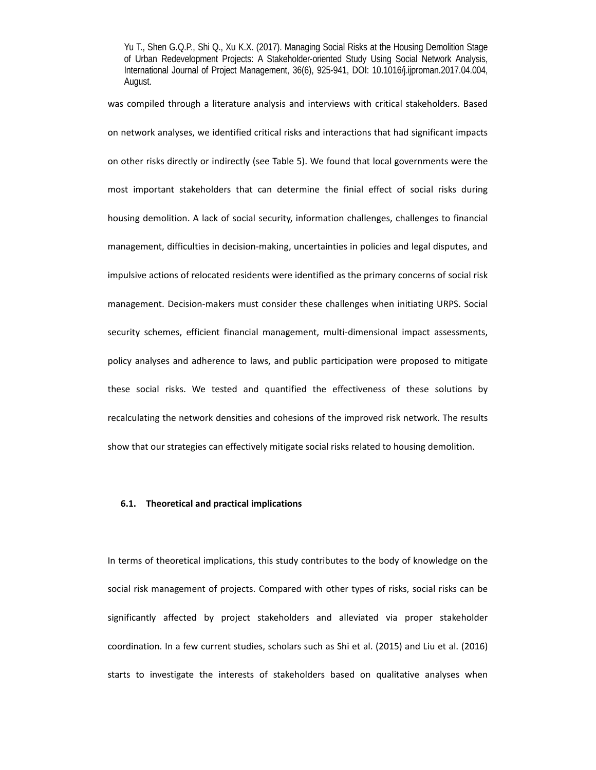was compiled through a literature analysis and interviews with critical stakeholders. Based on network analyses, we identified critical risks and interactions that had significant impacts on other risks directly or indirectly (see Table 5). We found that local governments were the most important stakeholders that can determine the finial effect of social risks during housing demolition. A lack of social security, information challenges, challenges to financial management, difficulties in decision‐making, uncertainties in policies and legal disputes, and impulsive actions of relocated residents were identified as the primary concerns of social risk management. Decision‐makers must consider these challenges when initiating URPS. Social security schemes, efficient financial management, multi-dimensional impact assessments, policy analyses and adherence to laws, and public participation were proposed to mitigate these social risks. We tested and quantified the effectiveness of these solutions by recalculating the network densities and cohesions of the improved risk network. The results show that our strategies can effectively mitigate social risks related to housing demolition.

# **6.1. Theoretical and practical implications**

In terms of theoretical implications, this study contributes to the body of knowledge on the social risk management of projects. Compared with other types of risks, social risks can be significantly affected by project stakeholders and alleviated via proper stakeholder coordination. In a few current studies, scholars such as Shi et al. (2015) and Liu et al. (2016) starts to investigate the interests of stakeholders based on qualitative analyses when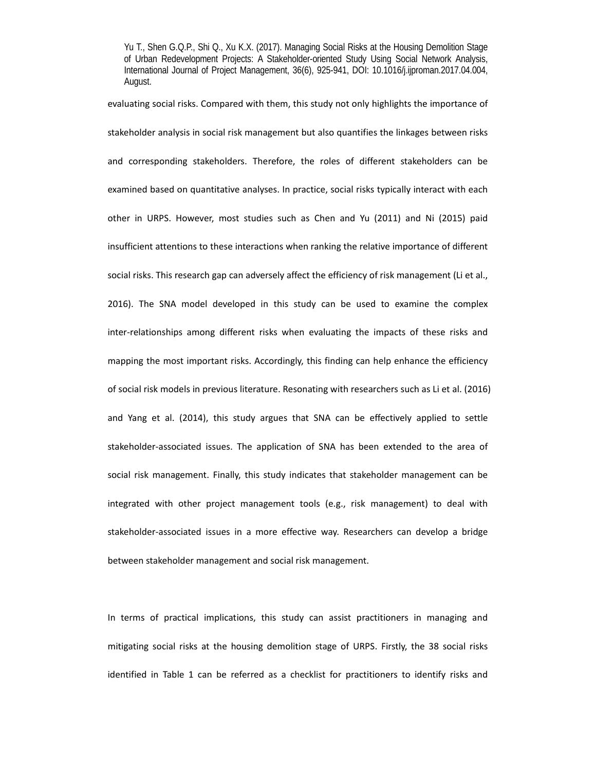evaluating social risks. Compared with them, this study not only highlights the importance of stakeholder analysis in social risk management but also quantifies the linkages between risks and corresponding stakeholders. Therefore, the roles of different stakeholders can be examined based on quantitative analyses. In practice, social risks typically interact with each other in URPS. However, most studies such as Chen and Yu (2011) and Ni (2015) paid insufficient attentions to these interactions when ranking the relative importance of different social risks. This research gap can adversely affect the efficiency of risk management (Li et al., 2016). The SNA model developed in this study can be used to examine the complex inter-relationships among different risks when evaluating the impacts of these risks and mapping the most important risks. Accordingly, this finding can help enhance the efficiency of social risk models in previous literature. Resonating with researchers such as Li et al. (2016) and Yang et al. (2014), this study argues that SNA can be effectively applied to settle stakeholder‐associated issues. The application of SNA has been extended to the area of social risk management. Finally, this study indicates that stakeholder management can be integrated with other project management tools (e.g., risk management) to deal with stakeholder‐associated issues in a more effective way. Researchers can develop a bridge between stakeholder management and social risk management.

In terms of practical implications, this study can assist practitioners in managing and mitigating social risks at the housing demolition stage of URPS. Firstly, the 38 social risks identified in Table 1 can be referred as a checklist for practitioners to identify risks and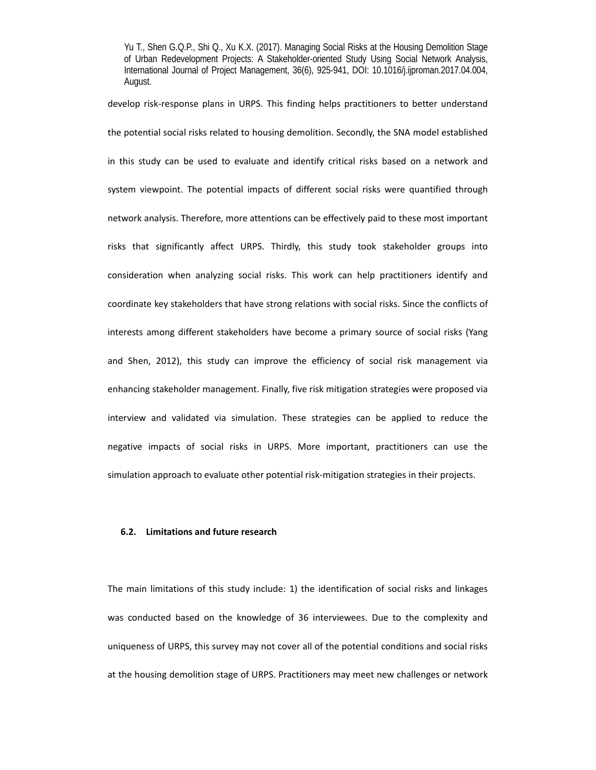develop risk‐response plans in URPS. This finding helps practitioners to better understand the potential social risks related to housing demolition. Secondly, the SNA model established in this study can be used to evaluate and identify critical risks based on a network and system viewpoint. The potential impacts of different social risks were quantified through network analysis. Therefore, more attentions can be effectively paid to these most important risks that significantly affect URPS. Thirdly, this study took stakeholder groups into consideration when analyzing social risks. This work can help practitioners identify and coordinate key stakeholders that have strong relations with social risks. Since the conflicts of interests among different stakeholders have become a primary source of social risks (Yang and Shen, 2012), this study can improve the efficiency of social risk management via enhancing stakeholder management. Finally, five risk mitigation strategies were proposed via interview and validated via simulation. These strategies can be applied to reduce the negative impacts of social risks in URPS. More important, practitioners can use the simulation approach to evaluate other potential risk-mitigation strategies in their projects.

# **6.2. Limitations and future research**

The main limitations of this study include: 1) the identification of social risks and linkages was conducted based on the knowledge of 36 interviewees. Due to the complexity and uniqueness of URPS, this survey may not cover all of the potential conditions and social risks at the housing demolition stage of URPS. Practitioners may meet new challenges or network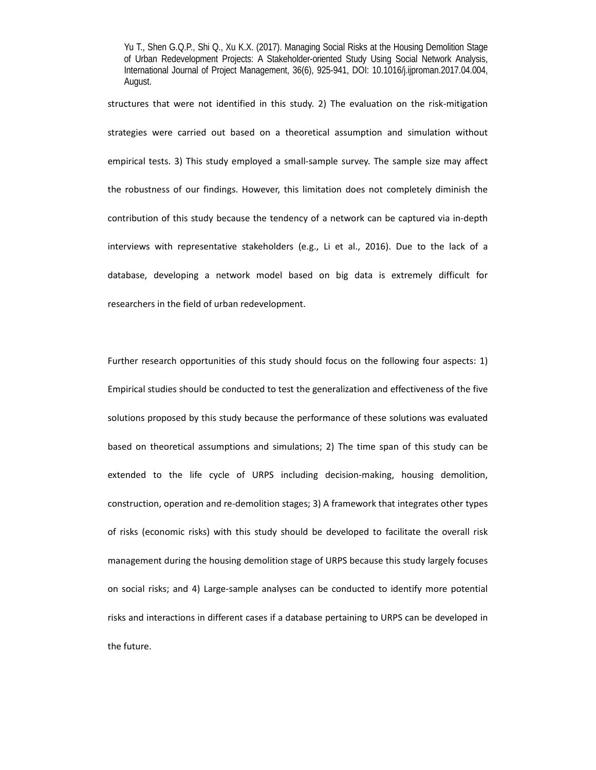structures that were not identified in this study. 2) The evaluation on the risk-mitigation strategies were carried out based on a theoretical assumption and simulation without empirical tests. 3) This study employed a small-sample survey. The sample size may affect the robustness of our findings. However, this limitation does not completely diminish the contribution of this study because the tendency of a network can be captured via in‐depth interviews with representative stakeholders (e.g., Li et al., 2016). Due to the lack of a database, developing a network model based on big data is extremely difficult for researchers in the field of urban redevelopment.

Further research opportunities of this study should focus on the following four aspects: 1) Empirical studies should be conducted to test the generalization and effectiveness of the five solutions proposed by this study because the performance of these solutions was evaluated based on theoretical assumptions and simulations; 2) The time span of this study can be extended to the life cycle of URPS including decision-making, housing demolition, construction, operation and re‐demolition stages; 3) A framework that integrates other types of risks (economic risks) with this study should be developed to facilitate the overall risk management during the housing demolition stage of URPS because this study largely focuses on social risks; and 4) Large-sample analyses can be conducted to identify more potential risks and interactions in different cases if a database pertaining to URPS can be developed in the future.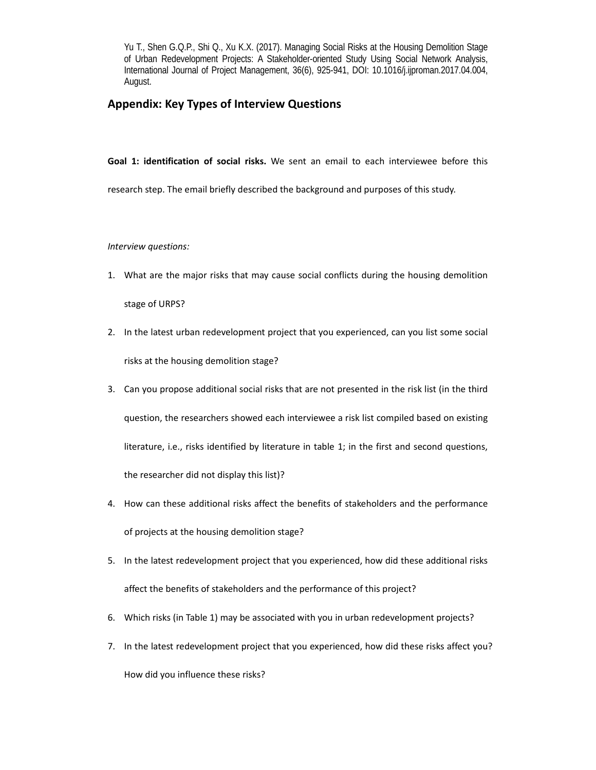# **Appendix: Key Types of Interview Questions**

Goal 1: identification of social risks. We sent an email to each interviewee before this research step. The email briefly described the background and purposes of this study.

*Interview questions:* 

- 1. What are the major risks that may cause social conflicts during the housing demolition stage of URPS?
- 2. In the latest urban redevelopment project that you experienced, can you list some social risks at the housing demolition stage?
- 3. Can you propose additional social risks that are not presented in the risk list (in the third question, the researchers showed each interviewee a risk list compiled based on existing literature, i.e., risks identified by literature in table 1; in the first and second questions, the researcher did not display this list)?
- 4. How can these additional risks affect the benefits of stakeholders and the performance of projects at the housing demolition stage?
- 5. In the latest redevelopment project that you experienced, how did these additional risks affect the benefits of stakeholders and the performance of this project?
- 6. Which risks (in Table 1) may be associated with you in urban redevelopment projects?
- 7. In the latest redevelopment project that you experienced, how did these risks affect you?

How did you influence these risks?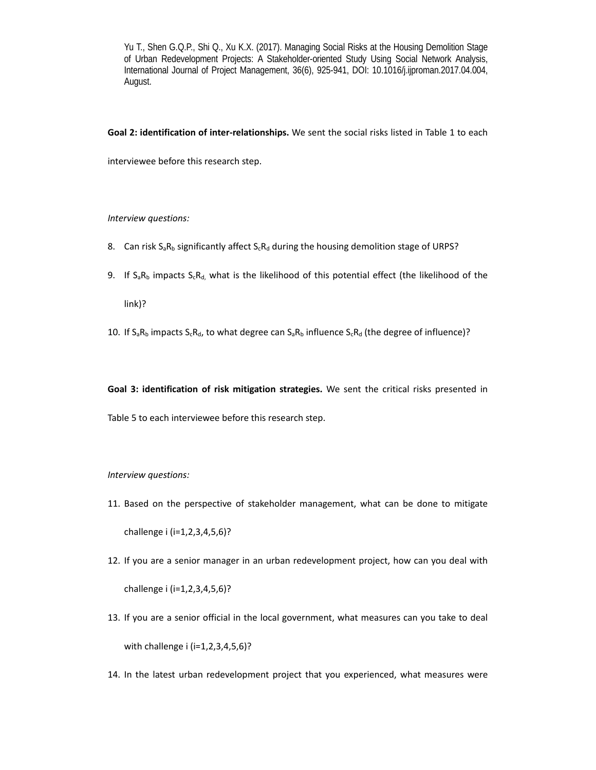**Goal 2: identification of inter‐relationships.** We sent the social risks listed in Table 1 to each

interviewee before this research step.

# *Interview questions:*

- 8. Can risk  $S_aR_b$  significantly affect  $S_cR_d$  during the housing demolition stage of URPS?
- 9. If  $S_aR_b$  impacts  $S_cR_d$ , what is the likelihood of this potential effect (the likelihood of the

link)?

10. If  $S_aR_b$  impacts  $S_cR_d$ , to what degree can  $S_aR_b$  influence  $S_cR_d$  (the degree of influence)?

Goal 3: identification of risk mitigation strategies. We sent the critical risks presented in Table 5 to each interviewee before this research step.

#### *Interview questions:*

- 11. Based on the perspective of stakeholder management, what can be done to mitigate challenge i (i=1,2,3,4,5,6)?
- 12. If you are a senior manager in an urban redevelopment project, how can you deal with challenge i (i=1,2,3,4,5,6)?
- 13. If you are a senior official in the local government, what measures can you take to deal with challenge i (i=1,2,3,4,5,6)?
- 14. In the latest urban redevelopment project that you experienced, what measures were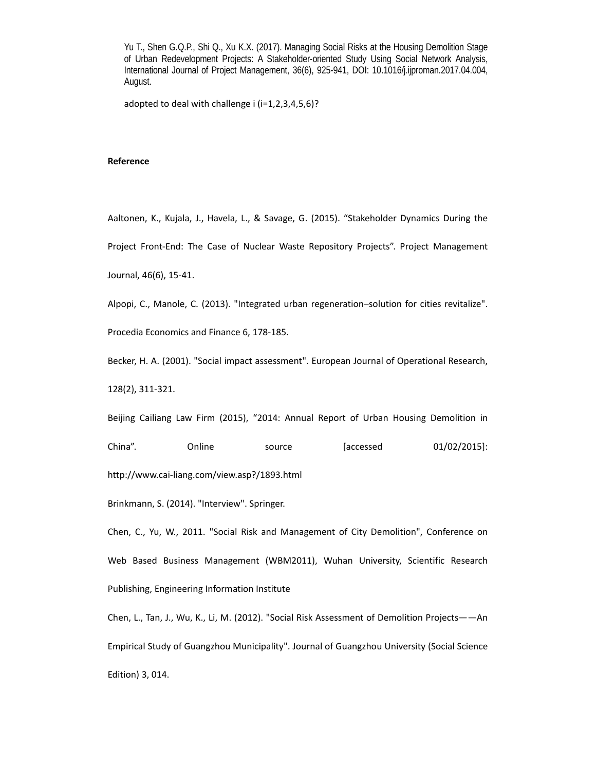adopted to deal with challenge i (i=1,2,3,4,5,6)?

## **Reference**

Aaltonen, K., Kujala, J., Havela, L., & Savage, G. (2015). "Stakeholder Dynamics During the Project Front-End: The Case of Nuclear Waste Repository Projects". Project Management Journal, 46(6), 15‐41.

Alpopi, C., Manole, C. (2013). "Integrated urban regeneration–solution for cities revitalize".

Procedia Economics and Finance 6, 178‐185.

Becker, H. A. (2001). "Social impact assessment". European Journal of Operational Research,

128(2), 311‐321.

Beijing Cailiang Law Firm (2015), "2014: Annual Report of Urban Housing Demolition in

China". Online source [accessed 01/02/2015]:

http://www.cai‐liang.com/view.asp?/1893.html

Brinkmann, S. (2014). "Interview". Springer.

Chen, C., Yu, W., 2011. "Social Risk and Management of City Demolition", Conference on Web Based Business Management (WBM2011), Wuhan University, Scientific Research Publishing, Engineering Information Institute

Chen, L., Tan, J., Wu, K., Li, M. (2012). "Social Risk Assessment of Demolition Projects——An Empirical Study of Guangzhou Municipality". Journal of Guangzhou University (Social Science Edition) 3, 014.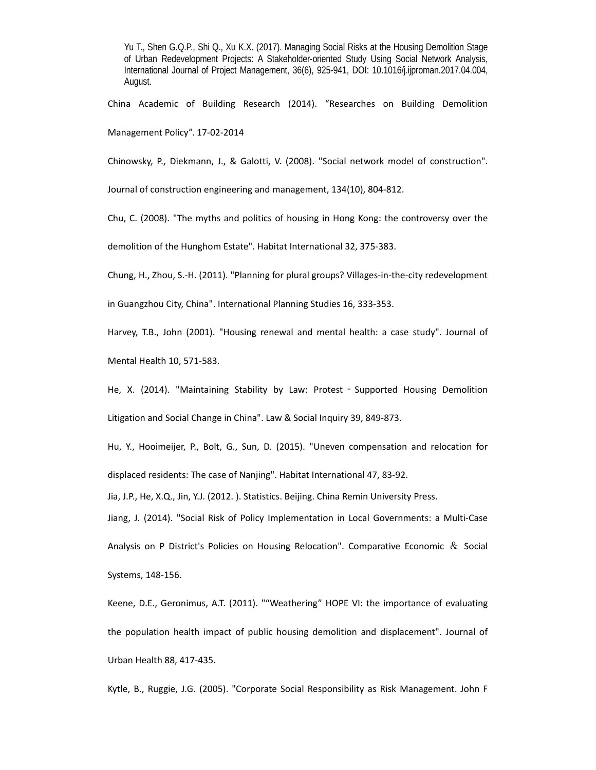China Academic of Building Research (2014). "Researches on Building Demolition Management Policy". 17‐02‐2014

Chinowsky, P., Diekmann, J., & Galotti, V. (2008). "Social network model of construction".

Journal of construction engineering and management, 134(10), 804‐812.

Chu, C. (2008). "The myths and politics of housing in Hong Kong: the controversy over the demolition of the Hunghom Estate". Habitat International 32, 375‐383.

Chung, H., Zhou, S.‐H. (2011). "Planning for plural groups? Villages‐in‐the‐city redevelopment

in Guangzhou City, China". International Planning Studies 16, 333‐353.

Harvey, T.B., John (2001). "Housing renewal and mental health: a case study". Journal of

Mental Health 10, 571‐583.

He, X. (2014). "Maintaining Stability by Law: Protest - Supported Housing Demolition Litigation and Social Change in China". Law & Social Inquiry 39, 849‐873.

Hu, Y., Hooimeijer, P., Bolt, G., Sun, D. (2015). "Uneven compensation and relocation for displaced residents: The case of Nanjing". Habitat International 47, 83‐92.

Jia, J.P., He, X.Q., Jin, Y.J. (2012. ). Statistics. Beijing. China Remin University Press.

Jiang, J. (2014). "Social Risk of Policy Implementation in Local Governments: a Multi‐Case Analysis on P District's Policies on Housing Relocation". Comparative Economic  $\&$  Social Systems, 148‐156.

Keene, D.E., Geronimus, A.T. (2011). ""Weathering" HOPE VI: the importance of evaluating the population health impact of public housing demolition and displacement". Journal of Urban Health 88, 417‐435.

Kytle, B., Ruggie, J.G. (2005). "Corporate Social Responsibility as Risk Management. John F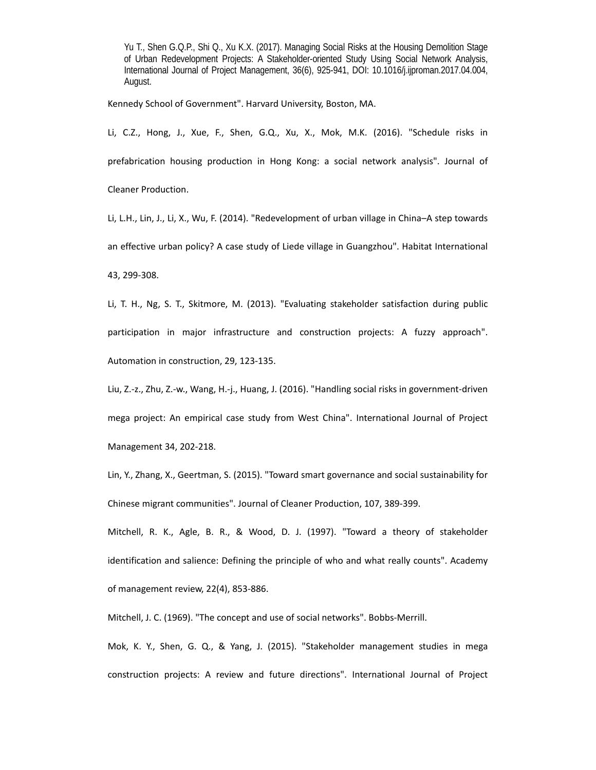Kennedy School of Government". Harvard University, Boston, MA.

Li, C.Z., Hong, J., Xue, F., Shen, G.Q., Xu, X., Mok, M.K. (2016). "Schedule risks in prefabrication housing production in Hong Kong: a social network analysis". Journal of Cleaner Production.

Li, L.H., Lin, J., Li, X., Wu, F. (2014). "Redevelopment of urban village in China–A step towards an effective urban policy? A case study of Liede village in Guangzhou". Habitat International 43, 299‐308.

Li, T. H., Ng, S. T., Skitmore, M. (2013). "Evaluating stakeholder satisfaction during public participation in major infrastructure and construction projects: A fuzzy approach". Automation in construction, 29, 123‐135.

Liu, Z.‐z., Zhu, Z.‐w., Wang, H.‐j., Huang, J. (2016). "Handling social risks in government‐driven mega project: An empirical case study from West China". International Journal of Project Management 34, 202‐218.

Lin, Y., Zhang, X., Geertman, S. (2015). "Toward smart governance and social sustainability for Chinese migrant communities". Journal of Cleaner Production, 107, 389‐399.

Mitchell, R. K., Agle, B. R., & Wood, D. J. (1997). "Toward a theory of stakeholder identification and salience: Defining the principle of who and what really counts". Academy of management review, 22(4), 853‐886.

Mitchell, J. C. (1969). "The concept and use of social networks". Bobbs‐Merrill.

Mok, K. Y., Shen, G. Q., & Yang, J. (2015). "Stakeholder management studies in mega construction projects: A review and future directions". International Journal of Project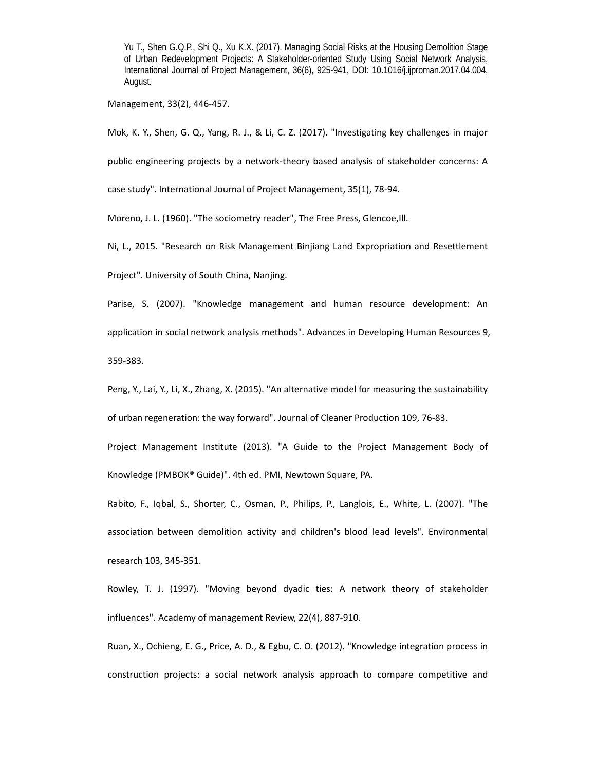Management, 33(2), 446‐457.

Mok, K. Y., Shen, G. Q., Yang, R. J., & Li, C. Z. (2017). "Investigating key challenges in major

public engineering projects by a network-theory based analysis of stakeholder concerns: A

case study". International Journal of Project Management, 35(1), 78‐94.

Moreno, J. L. (1960). "The sociometry reader", The Free Press, Glencoe,Ill.

Ni, L., 2015. "Research on Risk Management Binjiang Land Expropriation and Resettlement

Project". University of South China, Nanjing.

Parise, S. (2007). "Knowledge management and human resource development: An application in social network analysis methods". Advances in Developing Human Resources 9, 359‐383.

Peng, Y., Lai, Y., Li, X., Zhang, X. (2015). "An alternative model for measuring the sustainability

of urban regeneration: the way forward". Journal of Cleaner Production 109, 76‐83.

Project Management Institute (2013). "A Guide to the Project Management Body of Knowledge (PMBOK® Guide)". 4th ed. PMI, Newtown Square, PA.

Rabito, F., Iqbal, S., Shorter, C., Osman, P., Philips, P., Langlois, E., White, L. (2007). "The association between demolition activity and children's blood lead levels". Environmental research 103, 345‐351.

Rowley, T. J. (1997). "Moving beyond dyadic ties: A network theory of stakeholder influences". Academy of management Review, 22(4), 887‐910.

Ruan, X., Ochieng, E. G., Price, A. D., & Egbu, C. O. (2012). "Knowledge integration process in construction projects: a social network analysis approach to compare competitive and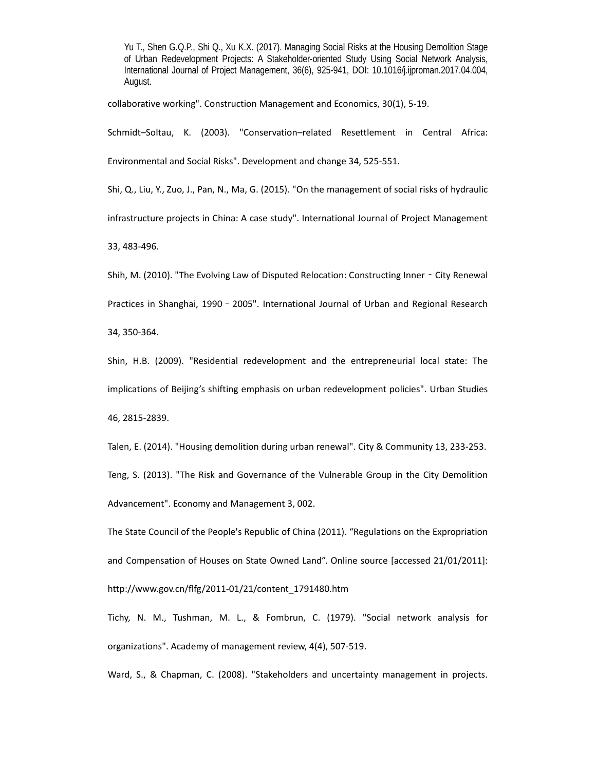collaborative working". Construction Management and Economics, 30(1), 5‐19.

Schmidt–Soltau, K. (2003). "Conservation–related Resettlement in Central Africa: Environmental and Social Risks". Development and change 34, 525‐551.

Shi, Q., Liu, Y., Zuo, J., Pan, N., Ma, G. (2015). "On the management of social risks of hydraulic

infrastructure projects in China: A case study". International Journal of Project Management

33, 483‐496.

Shih, M. (2010). "The Evolving Law of Disputed Relocation: Constructing Inner - City Renewal Practices in Shanghai, 1990 - 2005". International Journal of Urban and Regional Research 34, 350‐364.

Shin, H.B. (2009). "Residential redevelopment and the entrepreneurial local state: The implications of Beijing's shifting emphasis on urban redevelopment policies". Urban Studies 46, 2815‐2839.

Talen, E. (2014). "Housing demolition during urban renewal". City & Community 13, 233‐253. Teng, S. (2013). "The Risk and Governance of the Vulnerable Group in the City Demolition Advancement". Economy and Management 3, 002.

The State Council of the People's Republic of China (2011). "Regulations on the Expropriation and Compensation of Houses on State Owned Land". Online source [accessed 21/01/2011]: http://www.gov.cn/flfg/2011‐01/21/content\_1791480.htm

Tichy, N. M., Tushman, M. L., & Fombrun, C. (1979). "Social network analysis for organizations". Academy of management review, 4(4), 507‐519.

Ward, S., & Chapman, C. (2008). "Stakeholders and uncertainty management in projects.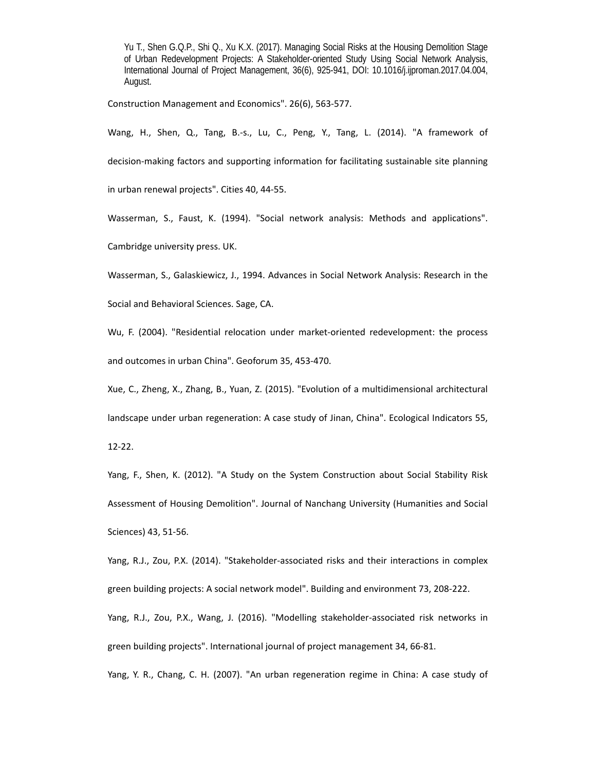Construction Management and Economics". 26(6), 563‐577.

Wang, H., Shen, Q., Tang, B.-s., Lu, C., Peng, Y., Tang, L. (2014). "A framework of decision‐making factors and supporting information for facilitating sustainable site planning in urban renewal projects". Cities 40, 44‐55.

Wasserman, S., Faust, K. (1994). "Social network analysis: Methods and applications". Cambridge university press. UK.

Wasserman, S., Galaskiewicz, J., 1994. Advances in Social Network Analysis: Research in the

Social and Behavioral Sciences. Sage, CA.

Wu, F. (2004). "Residential relocation under market-oriented redevelopment: the process and outcomes in urban China". Geoforum 35, 453‐470.

Xue, C., Zheng, X., Zhang, B., Yuan, Z. (2015). "Evolution of a multidimensional architectural

landscape under urban regeneration: A case study of Jinan, China". Ecological Indicators 55,

12‐22.

Yang, F., Shen, K. (2012). "A Study on the System Construction about Social Stability Risk Assessment of Housing Demolition". Journal of Nanchang University (Humanities and Social Sciences) 43, 51‐56.

Yang, R.J., Zou, P.X. (2014). "Stakeholder-associated risks and their interactions in complex green building projects: A social network model". Building and environment 73, 208‐222.

Yang, R.J., Zou, P.X., Wang, J. (2016). "Modelling stakeholder‐associated risk networks in green building projects". International journal of project management 34, 66‐81.

Yang, Y. R., Chang, C. H. (2007). "An urban regeneration regime in China: A case study of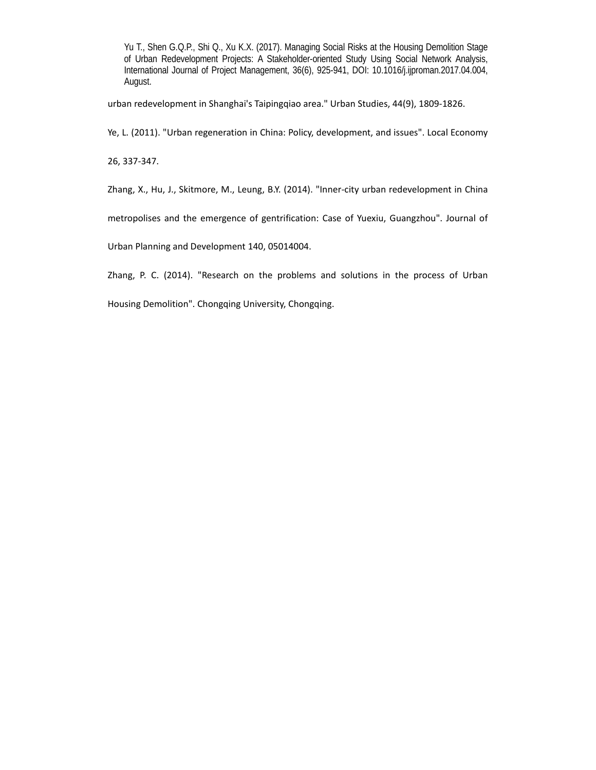urban redevelopment in Shanghai's Taipingqiao area." Urban Studies, 44(9), 1809‐1826.

Ye, L. (2011). "Urban regeneration in China: Policy, development, and issues". Local Economy

26, 337‐347.

Zhang, X., Hu, J., Skitmore, M., Leung, B.Y. (2014). "Inner‐city urban redevelopment in China

metropolises and the emergence of gentrification: Case of Yuexiu, Guangzhou". Journal of

Urban Planning and Development 140, 05014004.

Zhang, P. C. (2014). "Research on the problems and solutions in the process of Urban

Housing Demolition". Chongqing University, Chongqing.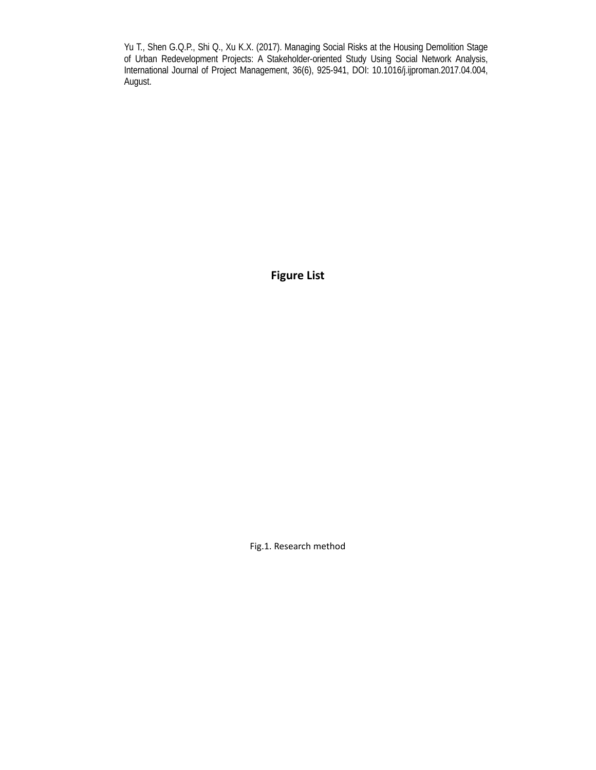**Figure List** 

Fig.1. Research method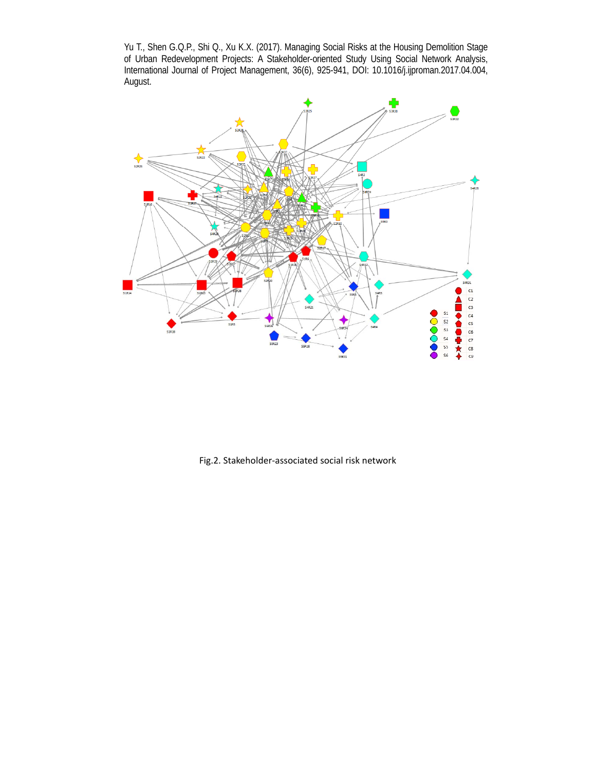

Fig.2. Stakeholder‐associated social risk network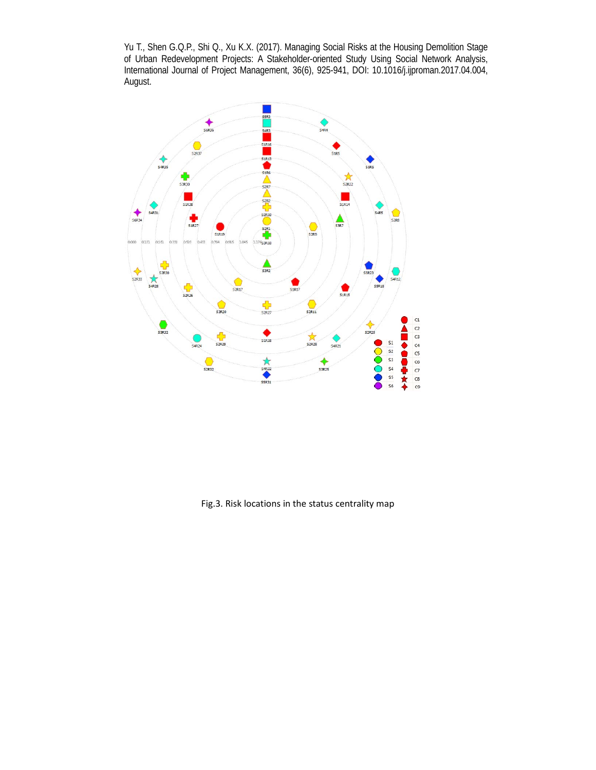

Fig.3. Risk locations in the status centrality map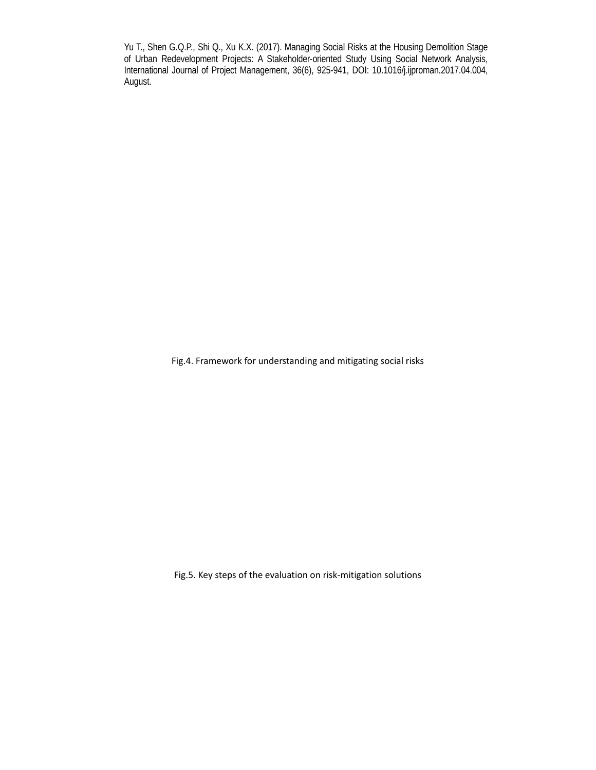Fig.4. Framework for understanding and mitigating social risks

Fig.5. Key steps of the evaluation on risk‐mitigation solutions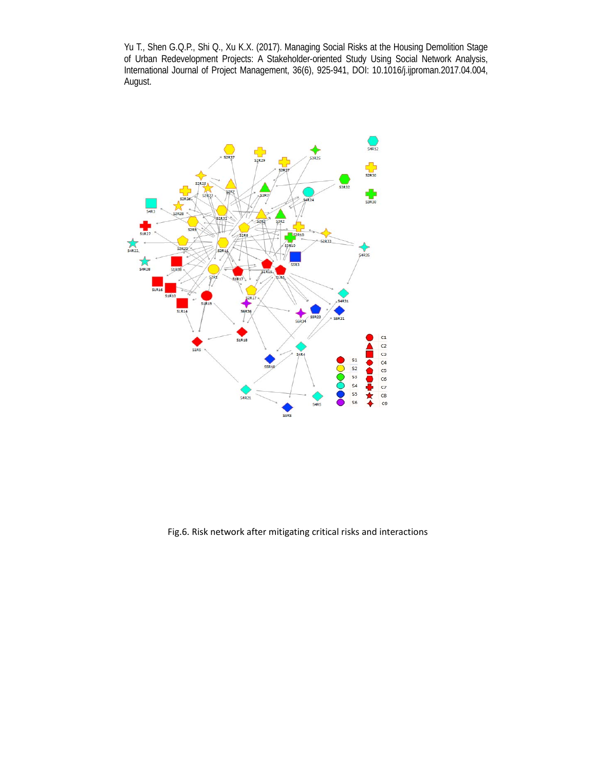

Fig.6. Risk network after mitigating critical risks and interactions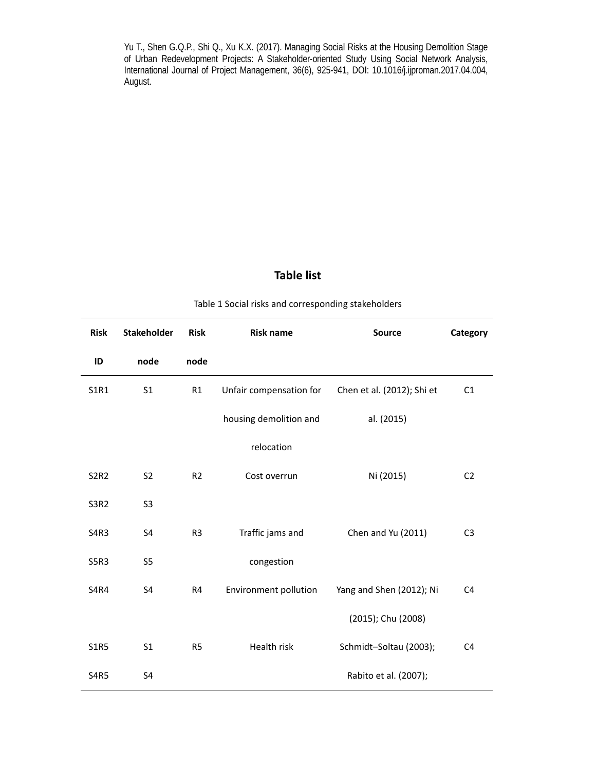# **Table list**

| Table 1 Social risks and corresponding stakeholders |  |  |  |  |
|-----------------------------------------------------|--|--|--|--|
|-----------------------------------------------------|--|--|--|--|

| <b>Risk</b> | <b>Stakeholder</b> | <b>Risk</b>    | <b>Risk name</b>             | <b>Source</b>              | Category       |
|-------------|--------------------|----------------|------------------------------|----------------------------|----------------|
| ID          | node               | node           |                              |                            |                |
| S1R1        | S <sub>1</sub>     | R1             | Unfair compensation for      | Chen et al. (2012); Shi et | C1             |
|             |                    |                | housing demolition and       | al. (2015)                 |                |
|             |                    |                | relocation                   |                            |                |
| <b>S2R2</b> | S <sub>2</sub>     | R <sub>2</sub> | Cost overrun                 | Ni (2015)                  | C <sub>2</sub> |
| <b>S3R2</b> | S <sub>3</sub>     |                |                              |                            |                |
| S4R3        | S4                 | R <sub>3</sub> | Traffic jams and             | Chen and Yu (2011)         | C <sub>3</sub> |
| S5R3        | S <sub>5</sub>     |                | congestion                   |                            |                |
| <b>S4R4</b> | S4                 | R4             | <b>Environment pollution</b> | Yang and Shen (2012); Ni   | C <sub>4</sub> |
|             |                    |                |                              | (2015); Chu (2008)         |                |
| <b>S1R5</b> | S <sub>1</sub>     | R <sub>5</sub> | Health risk                  | Schmidt-Soltau (2003);     | C <sub>4</sub> |
| <b>S4R5</b> | S4                 |                |                              | Rabito et al. (2007);      |                |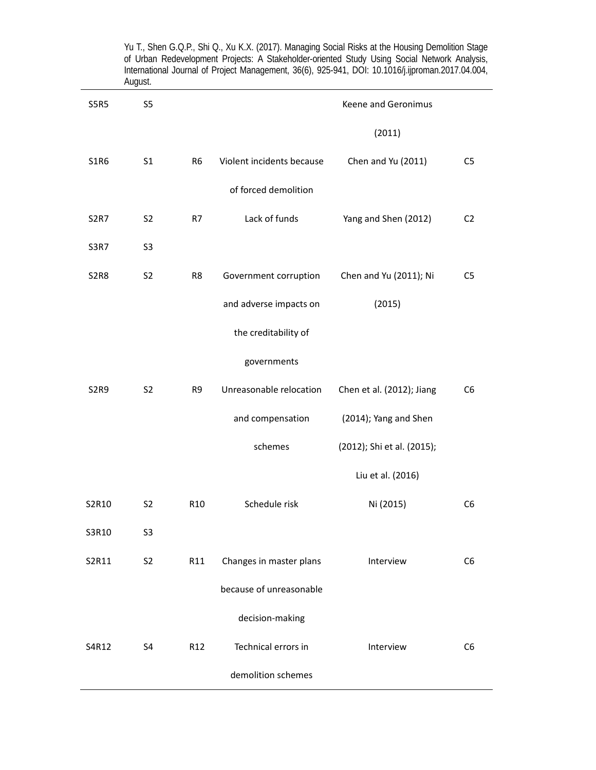|                               | August.        |                 | International Journal of Project Management, 36(6), 925-941, DOI: 10.1016/j.ijproman.2017.04.004 |                            |                |
|-------------------------------|----------------|-----------------|--------------------------------------------------------------------------------------------------|----------------------------|----------------|
| <b>S5R5</b>                   | S <sub>5</sub> |                 |                                                                                                  | Keene and Geronimus        |                |
|                               |                |                 |                                                                                                  | (2011)                     |                |
| <b>S1R6</b>                   | S <sub>1</sub> | R <sub>6</sub>  | Violent incidents because                                                                        | Chen and Yu (2011)         | C <sub>5</sub> |
|                               |                |                 | of forced demolition                                                                             |                            |                |
| <b>S2R7</b>                   | S <sub>2</sub> | R7              | Lack of funds                                                                                    | Yang and Shen (2012)       | C <sub>2</sub> |
| <b>S3R7</b>                   | S <sub>3</sub> |                 |                                                                                                  |                            |                |
| <b>S2R8</b>                   | S <sub>2</sub> | R8              | Government corruption                                                                            | Chen and Yu (2011); Ni     | C <sub>5</sub> |
|                               |                |                 | and adverse impacts on                                                                           | (2015)                     |                |
|                               |                |                 | the creditability of                                                                             |                            |                |
|                               |                |                 | governments                                                                                      |                            |                |
| S <sub>2</sub> R <sub>9</sub> | S <sub>2</sub> | R9              | Unreasonable relocation                                                                          | Chen et al. (2012); Jiang  | C <sub>6</sub> |
|                               |                |                 | and compensation                                                                                 | (2014); Yang and Shen      |                |
|                               |                |                 | schemes                                                                                          | (2012); Shi et al. (2015); |                |
|                               |                |                 |                                                                                                  | Liu et al. (2016)          |                |
| S2R10                         | S <sub>2</sub> | R <sub>10</sub> | Schedule risk                                                                                    | Ni (2015)                  | C <sub>6</sub> |
| S3R10                         | S <sub>3</sub> |                 |                                                                                                  |                            |                |
| S2R11                         | S <sub>2</sub> | R11             | Changes in master plans                                                                          | Interview                  | C <sub>6</sub> |
|                               |                |                 | because of unreasonable                                                                          |                            |                |
|                               |                |                 | decision-making                                                                                  |                            |                |
| S4R12                         | S <sub>4</sub> | R12             | Technical errors in                                                                              | Interview                  | C <sub>6</sub> |
|                               |                |                 | demolition schemes                                                                               |                            |                |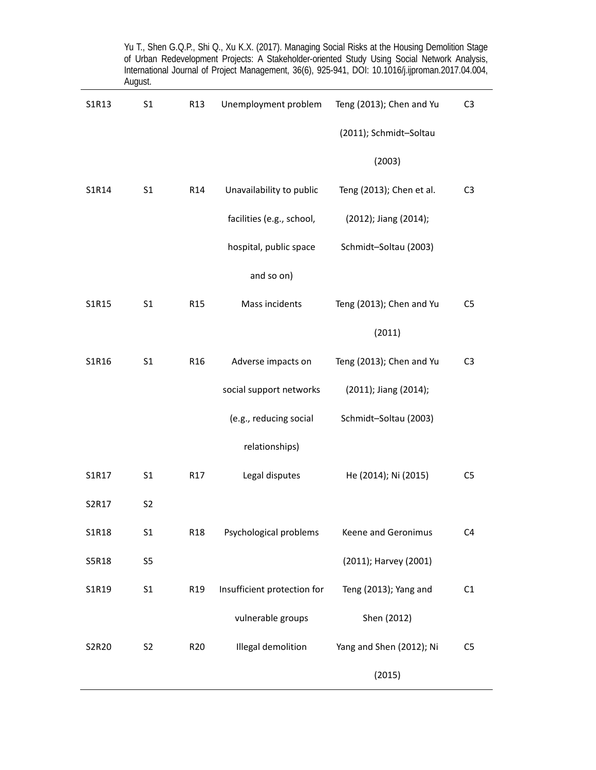|       | August.        |                 |                             | of Urban Redevelopment Projects: A Stakeholder-oriented Study Using Social Network Analysis,<br>International Journal of Project Management, 36(6), 925-941, DOI: 10.1016/j.ijproman.2017.04.004, |                |
|-------|----------------|-----------------|-----------------------------|---------------------------------------------------------------------------------------------------------------------------------------------------------------------------------------------------|----------------|
| S1R13 | S <sub>1</sub> | R <sub>13</sub> | Unemployment problem        | Teng (2013); Chen and Yu                                                                                                                                                                          | C <sub>3</sub> |
|       |                |                 |                             | (2011); Schmidt-Soltau                                                                                                                                                                            |                |
|       |                |                 |                             | (2003)                                                                                                                                                                                            |                |
| S1R14 | S1             | R14             | Unavailability to public    | Teng (2013); Chen et al.                                                                                                                                                                          | C <sub>3</sub> |
|       |                |                 | facilities (e.g., school,   | (2012); Jiang (2014);                                                                                                                                                                             |                |
|       |                |                 | hospital, public space      | Schmidt-Soltau (2003)                                                                                                                                                                             |                |
|       |                |                 | and so on)                  |                                                                                                                                                                                                   |                |
| S1R15 | S <sub>1</sub> | R <sub>15</sub> | Mass incidents              | Teng (2013); Chen and Yu                                                                                                                                                                          | C <sub>5</sub> |
|       |                |                 |                             | (2011)                                                                                                                                                                                            |                |
| S1R16 | S <sub>1</sub> | R <sub>16</sub> | Adverse impacts on          | Teng (2013); Chen and Yu                                                                                                                                                                          | C <sub>3</sub> |
|       |                |                 | social support networks     | (2011); Jiang (2014);                                                                                                                                                                             |                |
|       |                |                 | (e.g., reducing social      | Schmidt-Soltau (2003)                                                                                                                                                                             |                |
|       |                |                 | relationships)              |                                                                                                                                                                                                   |                |
| S1R17 | S <sub>1</sub> | R17             | Legal disputes              | He (2014); Ni (2015)                                                                                                                                                                              | C <sub>5</sub> |
| S2R17 | S <sub>2</sub> |                 |                             |                                                                                                                                                                                                   |                |
| S1R18 | S <sub>1</sub> | R <sub>18</sub> | Psychological problems      | Keene and Geronimus                                                                                                                                                                               | C <sub>4</sub> |
| S5R18 | S <sub>5</sub> |                 |                             | (2011); Harvey (2001)                                                                                                                                                                             |                |
| S1R19 | S <sub>1</sub> | R <sub>19</sub> | Insufficient protection for | Teng (2013); Yang and                                                                                                                                                                             | C <sub>1</sub> |
|       |                |                 | vulnerable groups           | Shen (2012)                                                                                                                                                                                       |                |
| S2R20 | S <sub>2</sub> | R <sub>20</sub> | Illegal demolition          | Yang and Shen (2012); Ni                                                                                                                                                                          | C <sub>5</sub> |
|       |                |                 |                             | (2015)                                                                                                                                                                                            |                |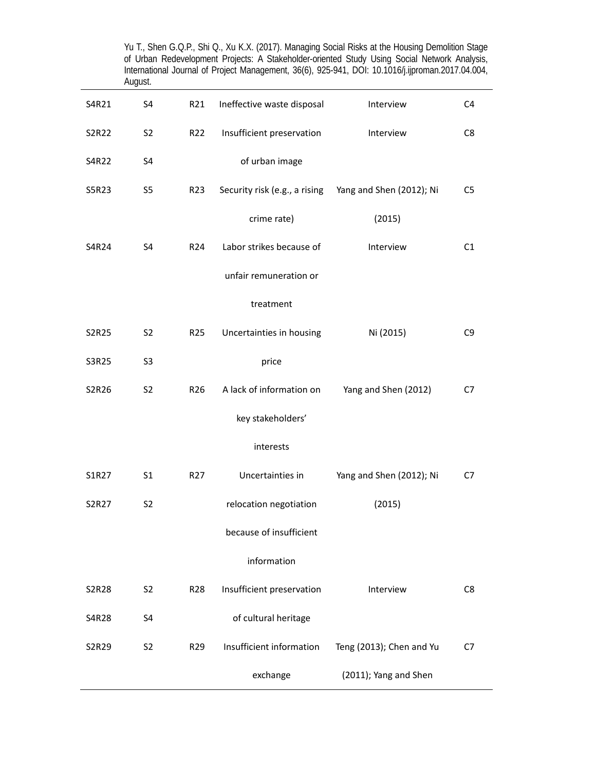|       | August.        |                 |                                                        |                          |                |
|-------|----------------|-----------------|--------------------------------------------------------|--------------------------|----------------|
| S4R21 | S4             | R21             | Ineffective waste disposal                             | Interview                | C4             |
| S2R22 | S <sub>2</sub> | R <sub>22</sub> | Insufficient preservation                              | Interview                | C <sub>8</sub> |
| S4R22 | S4             |                 | of urban image                                         |                          |                |
| S5R23 | S5             | R <sub>23</sub> | Security risk (e.g., a rising Yang and Shen (2012); Ni |                          | C <sub>5</sub> |
|       |                |                 | crime rate)                                            | (2015)                   |                |
| S4R24 | S4             | R <sub>24</sub> | Labor strikes because of                               | Interview                | C1             |
|       |                |                 | unfair remuneration or                                 |                          |                |
|       |                |                 | treatment                                              |                          |                |
| S2R25 | S <sub>2</sub> | R <sub>25</sub> | Uncertainties in housing                               | Ni (2015)                | C <sub>9</sub> |
| S3R25 | S <sub>3</sub> |                 | price                                                  |                          |                |
| S2R26 | S <sub>2</sub> | R <sub>26</sub> | A lack of information on                               | Yang and Shen (2012)     | C7             |
|       |                |                 | key stakeholders'                                      |                          |                |
|       |                |                 | interests                                              |                          |                |
| S1R27 | S <sub>1</sub> | R <sub>27</sub> | Uncertainties in                                       | Yang and Shen (2012); Ni | C7             |
| S2R27 | S <sub>2</sub> |                 | relocation negotiation                                 | (2015)                   |                |
|       |                |                 | because of insufficient                                |                          |                |
|       |                |                 | information                                            |                          |                |
| S2R28 | S <sub>2</sub> | R <sub>28</sub> | Insufficient preservation                              | Interview                | C <sub>8</sub> |
| S4R28 | S4             |                 | of cultural heritage                                   |                          |                |
| S2R29 | S <sub>2</sub> | R <sub>29</sub> | Insufficient information                               | Teng (2013); Chen and Yu | C7             |
|       |                |                 | exchange                                               | (2011); Yang and Shen    |                |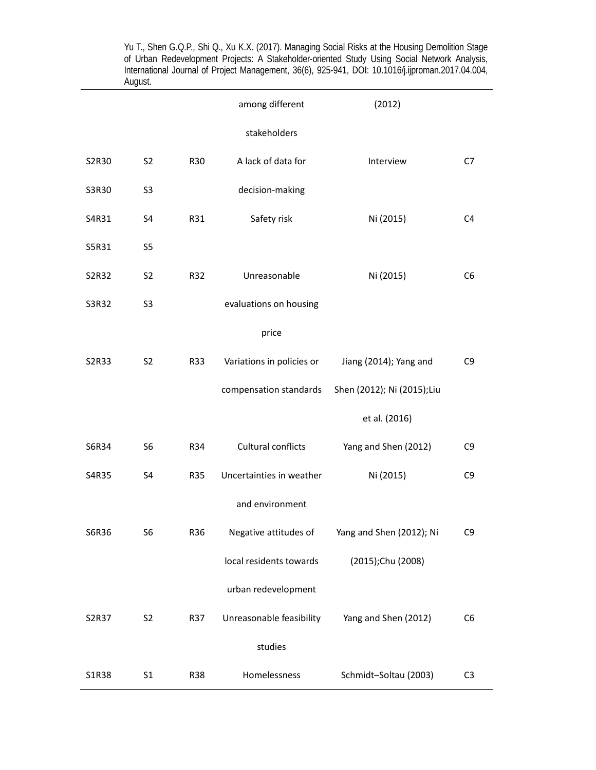|       |                |            | among different           | (2012)                      |                |
|-------|----------------|------------|---------------------------|-----------------------------|----------------|
|       |                |            | stakeholders              |                             |                |
| S2R30 | S <sub>2</sub> | R30        | A lack of data for        | Interview                   | C7             |
| S3R30 | S <sub>3</sub> |            | decision-making           |                             |                |
| S4R31 | S4             | R31        | Safety risk               | Ni (2015)                   | C <sub>4</sub> |
| S5R31 | S5             |            |                           |                             |                |
| S2R32 | S <sub>2</sub> | R32        | Unreasonable              | Ni (2015)                   | C <sub>6</sub> |
| S3R32 | S <sub>3</sub> |            | evaluations on housing    |                             |                |
|       |                |            | price                     |                             |                |
| S2R33 | S <sub>2</sub> | R33        | Variations in policies or | Jiang (2014); Yang and      | C <sub>9</sub> |
|       |                |            | compensation standards    | Shen (2012); Ni (2015); Liu |                |
|       |                |            |                           | et al. (2016)               |                |
| S6R34 | S <sub>6</sub> | R34        | Cultural conflicts        | Yang and Shen (2012)        | C <sub>9</sub> |
| S4R35 | S4             | <b>R35</b> | Uncertainties in weather  | Ni (2015)                   | C <sub>9</sub> |
|       |                |            | and environment           |                             |                |
| S6R36 | S6             | R36        | Negative attitudes of     | Yang and Shen (2012); Ni    | C9             |
|       |                |            | local residents towards   | (2015);Chu (2008)           |                |
|       |                |            | urban redevelopment       |                             |                |
| S2R37 | S <sub>2</sub> | R37        | Unreasonable feasibility  | Yang and Shen (2012)        | C <sub>6</sub> |
|       |                |            | studies                   |                             |                |
| S1R38 | S <sub>1</sub> | <b>R38</b> | Homelessness              | Schmidt-Soltau (2003)       | C <sub>3</sub> |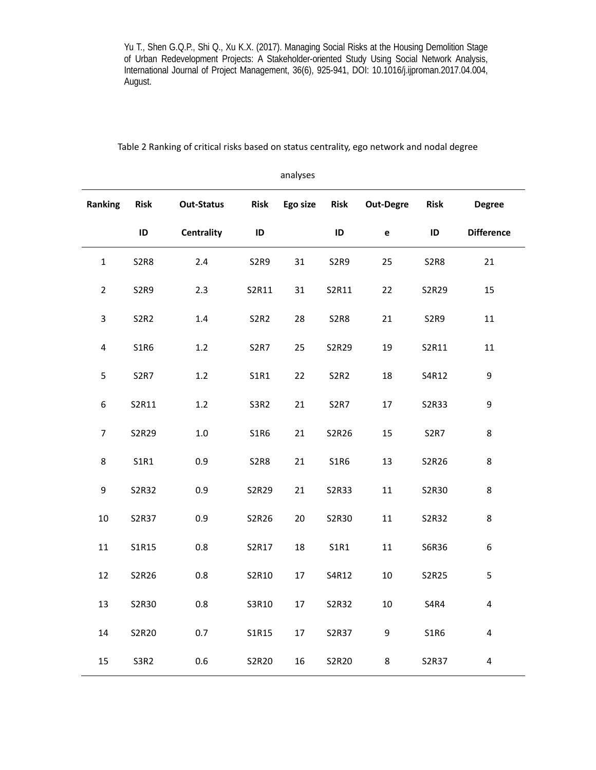|                  |                               |                   |                               | analyses |             |                  |                               |                         |
|------------------|-------------------------------|-------------------|-------------------------------|----------|-------------|------------------|-------------------------------|-------------------------|
| Ranking          | <b>Risk</b>                   | <b>Out-Status</b> | <b>Risk</b>                   | Ego size | <b>Risk</b> | <b>Out-Degre</b> | <b>Risk</b>                   | <b>Degree</b>           |
|                  | ID                            | <b>Centrality</b> | ID                            |          | ID          | $\mathbf{e}$     | ID                            | <b>Difference</b>       |
| $\mathbf{1}$     | <b>S2R8</b>                   | 2.4               | S <sub>2</sub> R <sub>9</sub> | 31       | <b>S2R9</b> | 25               | <b>S2R8</b>                   | 21                      |
| $\overline{2}$   | S <sub>2</sub> R <sub>9</sub> | 2.3               | S2R11                         | 31       | S2R11       | 22               | S2R29                         | 15                      |
| 3                | S <sub>2</sub> R <sub>2</sub> | $1.4\,$           | <b>S2R2</b>                   | 28       | S2R8        | 21               | S <sub>2</sub> R <sub>9</sub> | 11                      |
| $\pmb{4}$        | <b>S1R6</b>                   | 1.2               | <b>S2R7</b>                   | 25       | S2R29       | 19               | S2R11                         | 11                      |
| 5                | S <sub>2</sub> R <sub>7</sub> | 1.2               | S1R1                          | 22       | S2R2        | 18               | S4R12                         | 9                       |
| $\boldsymbol{6}$ | S2R11                         | 1.2               | S3R2                          | 21       | <b>S2R7</b> | 17               | S2R33                         | 9                       |
| $\boldsymbol{7}$ | S2R29                         | $1.0\,$           | <b>S1R6</b>                   | 21       | S2R26       | 15               | S <sub>2</sub> R <sub>7</sub> | 8                       |
| 8                | <b>S1R1</b>                   | 0.9               | <b>S2R8</b>                   | 21       | S1R6        | 13               | S2R26                         | 8                       |
| $\boldsymbol{9}$ | S2R32                         | 0.9               | S2R29                         | 21       | S2R33       | 11               | S2R30                         | 8                       |
| $10\,$           | S2R37                         | 0.9               | S2R26                         | 20       | S2R30       | 11               | S2R32                         | 8                       |
| 11               | S1R15                         | 0.8               | S2R17                         | 18       | S1R1        | 11               | S6R36                         | 6                       |
| 12               | S2R26                         | 0.8               | S2R10                         | 17       | S4R12       | 10               | S2R25                         | 5                       |
| 13               | S2R30                         | 0.8               | S3R10                         | 17       | S2R32       | $10\,$           | <b>S4R4</b>                   | 4                       |
| 14               | S2R20                         | 0.7               | S1R15                         | 17       | S2R37       | 9                | <b>S1R6</b>                   | $\overline{\mathbf{4}}$ |
| 15               | S3R2                          | 0.6               | S2R20                         | 16       | S2R20       | 8                | S2R37                         | $\pmb{4}$               |

Table 2 Ranking of critical risks based on status centrality, ego network and nodal degree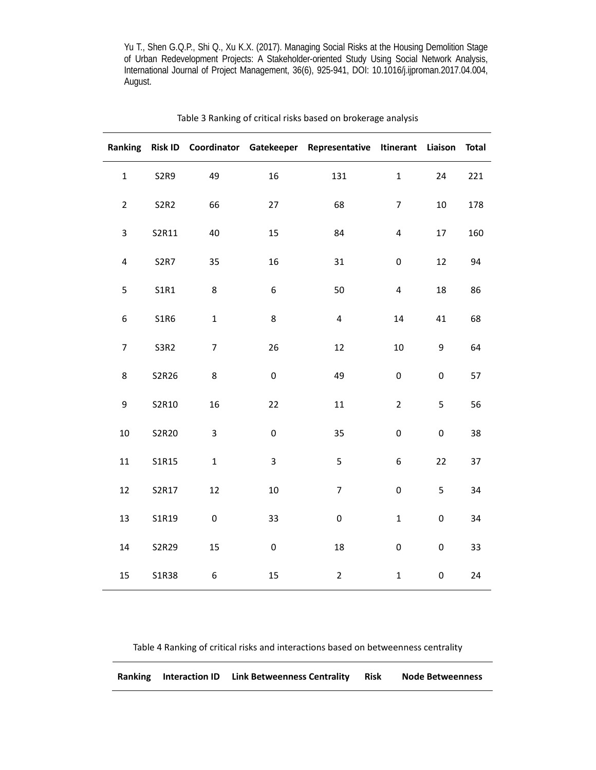|                         |             |                  |                  | Ranking Risk ID Coordinator Gatekeeper Representative Itinerant Liaison Total |                |             |     |
|-------------------------|-------------|------------------|------------------|-------------------------------------------------------------------------------|----------------|-------------|-----|
| $\mathbf{1}$            | <b>S2R9</b> | 49               | 16               | 131                                                                           | $\mathbf 1$    | 24          | 221 |
| $\overline{2}$          | <b>S2R2</b> | 66               | 27               | 68                                                                            | $\overline{7}$ | 10          | 178 |
| $\mathsf 3$             | S2R11       | 40               | 15               | 84                                                                            | $\pmb{4}$      | $17\,$      | 160 |
| $\overline{\mathbf{4}}$ | <b>S2R7</b> | 35               | 16               | 31                                                                            | $\pmb{0}$      | 12          | 94  |
| 5                       | S1R1        | 8                | $\boldsymbol{6}$ | 50                                                                            | $\pmb{4}$      | 18          | 86  |
| 6                       | <b>S1R6</b> | $\mathbf 1$      | $\bf 8$          | $\pmb{4}$                                                                     | $14\,$         | 41          | 68  |
| $\boldsymbol{7}$        | <b>S3R2</b> | $\boldsymbol{7}$ | 26               | 12                                                                            | 10             | 9           | 64  |
| 8                       | S2R26       | $\bf 8$          | $\pmb{0}$        | 49                                                                            | $\pmb{0}$      | $\pmb{0}$   | 57  |
| 9                       | S2R10       | 16               | 22               | 11                                                                            | $\overline{2}$ | 5           | 56  |
| 10                      | S2R20       | 3                | $\pmb{0}$        | 35                                                                            | $\pmb{0}$      | $\pmb{0}$   | 38  |
| $11\,$                  | S1R15       | $\mathbf 1$      | 3                | 5                                                                             | 6              | 22          | 37  |
| 12                      | S2R17       | 12               | $10\,$           | $\boldsymbol{7}$                                                              | $\mathbf 0$    | 5           | 34  |
| 13                      | S1R19       | $\mathsf 0$      | 33               | $\pmb{0}$                                                                     | $\mathbf 1$    | $\mathsf 0$ | 34  |
| 14                      | S2R29       | 15               | 0                | 18                                                                            | $\pmb{0}$      | $\pmb{0}$   | 33  |
| 15                      | S1R38       | $\boldsymbol{6}$ | 15               | $\overline{2}$                                                                | $\mathbf 1$    | $\pmb{0}$   | 24  |

# Table 3 Ranking of critical risks based on brokerage analysis

Table 4 Ranking of critical risks and interactions based on betweenness centrality

| <b>Ranking Interaction ID</b> | <b>Link Betweenness Centrality</b> | <b>Risk</b> | <b>Node Betweenness</b> |
|-------------------------------|------------------------------------|-------------|-------------------------|
|                               |                                    |             |                         |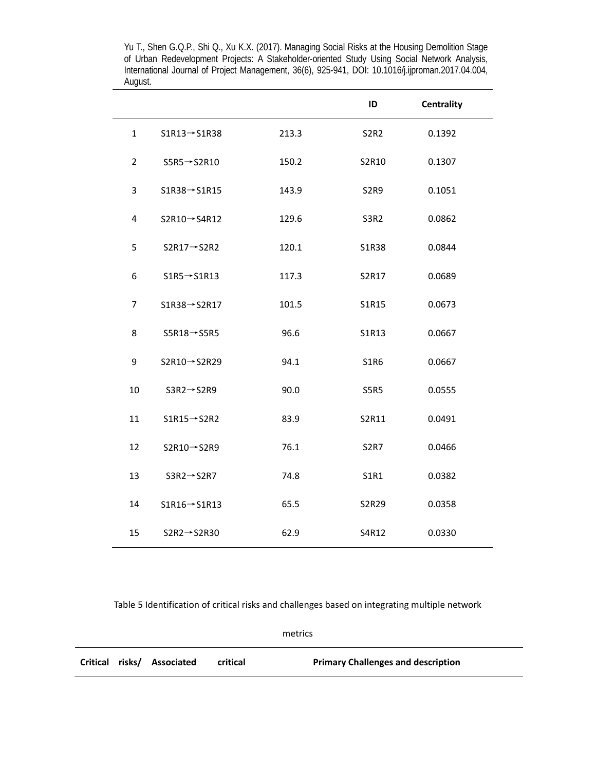|                |                           |       | ID          | <b>Centrality</b> |  |
|----------------|---------------------------|-------|-------------|-------------------|--|
| $\mathbf{1}$   | $S1R13 \rightarrow S1R38$ | 213.3 | <b>S2R2</b> | 0.1392            |  |
| $\overline{2}$ | $SSR5 \rightarrow S2R10$  | 150.2 | S2R10       | 0.1307            |  |
| 3              | $S1R38 \rightarrow S1R15$ | 143.9 | <b>S2R9</b> | 0.1051            |  |
| 4              | $S2R10 \rightarrow S4R12$ | 129.6 | S3R2        | 0.0862            |  |
| 5              | $S2R17 \rightarrow S2R2$  | 120.1 | S1R38       | 0.0844            |  |
| 6              | $S1R5 \rightarrow S1R13$  | 117.3 | S2R17       | 0.0689            |  |
| $\overline{7}$ | $S1R38 \rightarrow S2R17$ | 101.5 | S1R15       | 0.0673            |  |
| 8              | $SSR18 \rightarrow S5R5$  | 96.6  | S1R13       | 0.0667            |  |
| 9              | S2R10→S2R29               | 94.1  | S1R6        | 0.0667            |  |
| 10             | $S3R2 \rightarrow S2R9$   | 90.0  | <b>S5R5</b> | 0.0555            |  |
| 11             | $S1R15 \rightarrow S2R2$  | 83.9  | S2R11       | 0.0491            |  |
| 12             | $S2R10 \rightarrow S2R9$  | 76.1  | <b>S2R7</b> | 0.0466            |  |
| 13             | $S3R2 \rightarrow S2R7$   | 74.8  | S1R1        | 0.0382            |  |
| 14             | $SIR16 \rightarrow SIR13$ | 65.5  | S2R29       | 0.0358            |  |
| 15             | $S2R2 \rightarrow S2R30$  | 62.9  | S4R12       | 0.0330            |  |

Table 5 Identification of critical risks and challenges based on integrating multiple network

metrics

|  | Critical risks/ Associated | critical | <b>Primary Challenges and description</b> |
|--|----------------------------|----------|-------------------------------------------|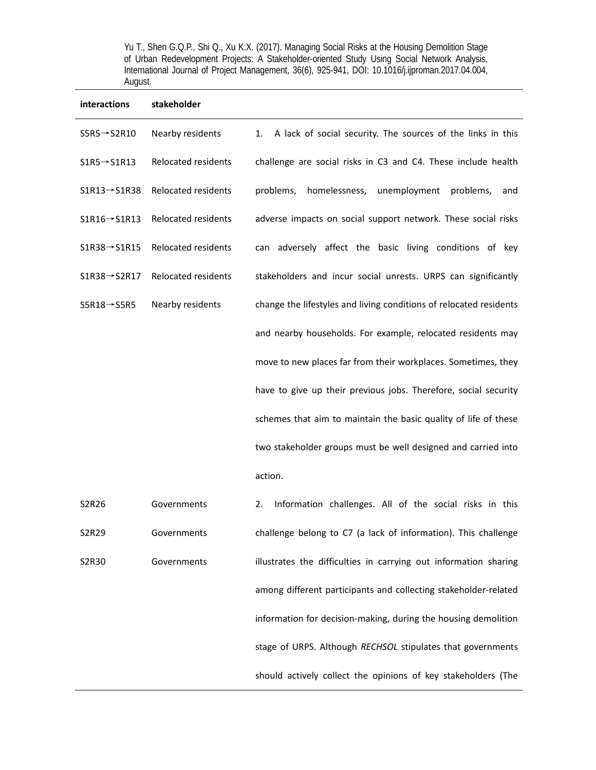| interactions              | stakeholder         |                                                                    |
|---------------------------|---------------------|--------------------------------------------------------------------|
| $SSR5 \rightarrow S2R10$  | Nearby residents    | A lack of social security. The sources of the links in this<br>1.  |
| $S1R5 \rightarrow S1R13$  | Relocated residents | challenge are social risks in C3 and C4. These include health      |
| $S1R13 \rightarrow S1R38$ | Relocated residents | homelessness,<br>unemployment<br>problems,<br>problems,<br>and     |
| $S1R16 \rightarrow S1R13$ | Relocated residents | adverse impacts on social support network. These social risks      |
| $S1R38 \rightarrow S1R15$ | Relocated residents | can adversely affect the basic living conditions of key            |
| $S1R38 \rightarrow S2R17$ | Relocated residents | stakeholders and incur social unrests. URPS can significantly      |
| $SSR18 \rightarrow S5R5$  | Nearby residents    | change the lifestyles and living conditions of relocated residents |
|                           |                     | and nearby households. For example, relocated residents may        |
|                           |                     | move to new places far from their workplaces. Sometimes, they      |
|                           |                     | have to give up their previous jobs. Therefore, social security    |
|                           |                     | schemes that aim to maintain the basic quality of life of these    |
|                           |                     | two stakeholder groups must be well designed and carried into      |
|                           |                     | action.                                                            |
| S2R26                     | Governments         | Information challenges. All of the social risks in this<br>2.      |
| S2R29                     | Governments         | challenge belong to C7 (a lack of information). This challenge     |
| S2R30                     | Governments         | illustrates the difficulties in carrying out information sharing   |
|                           |                     | among different participants and collecting stakeholder-related    |
|                           |                     | information for decision-making, during the housing demolition     |
|                           |                     | stage of URPS. Although RECHSOL stipulates that governments        |

should actively collect the opinions of key stakeholders (The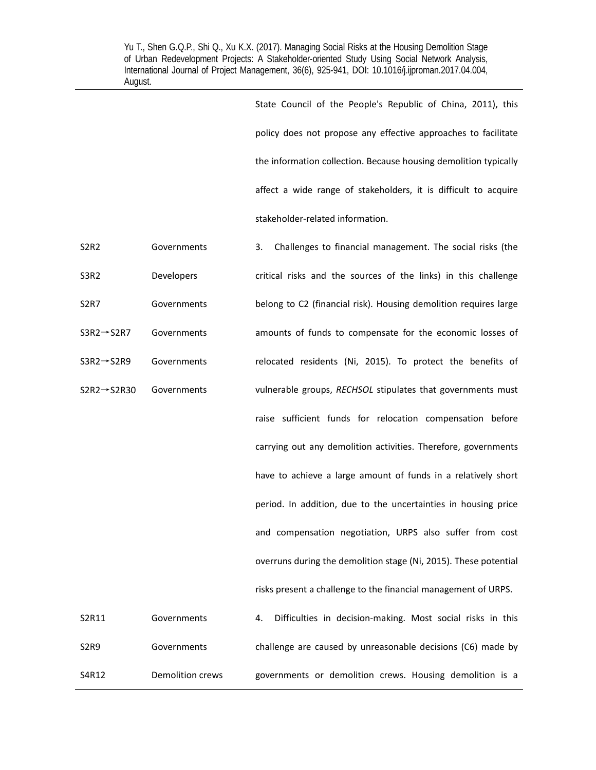> State Council of the People's Republic of China, 2011), this policy does not propose any effective approaches to facilitate the information collection. Because housing demolition typically affect a wide range of stakeholders, it is difficult to acquire stakeholder‐related information.

> governments or demolition crews. Housing demolition is a

S2R2 **Governments** 3. Challenges to financial management. The social risks (the critical risks and the sources of the links) in this challenge belong to C2 (financial risk). Housing demolition requires large amounts of funds to compensate for the economic losses of relocated residents (Ni, 2015). To protect the benefits of vulnerable groups, RECHSOL stipulates that governments must raise sufficient funds for relocation compensation before carrying out any demolition activities. Therefore, governments have to achieve a large amount of funds in a relatively short period. In addition, due to the uncertainties in housing price and compensation negotiation, URPS also suffer from cost overruns during the demolition stage (Ni, 2015). These potential risks present a challenge to the financial management of URPS. S3R2 Developers S2R7 Governments S3R2→S2R7 Governments S3R2→S2R9 Governments S2R2→S2R30 Governments S2R11 Governments 4. Difficulties in decision-making. Most social risks in this challenge are caused by unreasonable decisions (C6) made by S2R9 Governments

S4R12 Demolition crews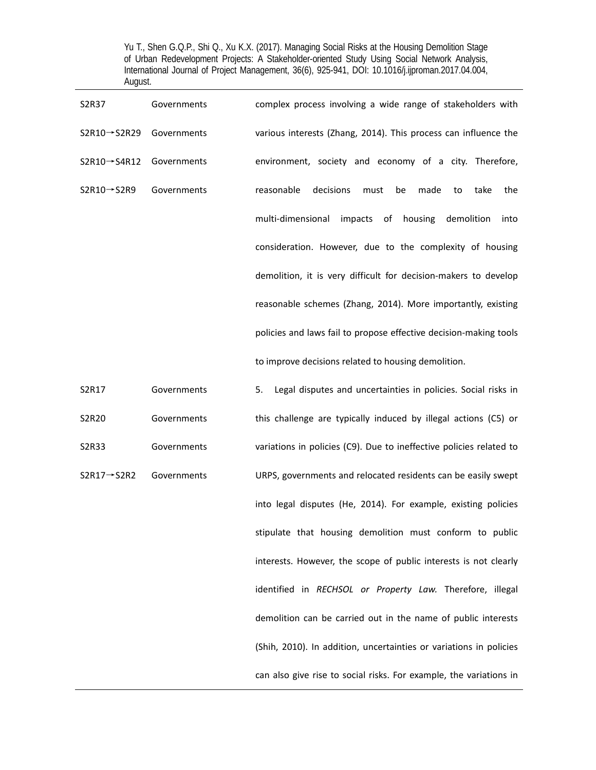| S2R37                                 | Governments | complex process involving a wide range of stakeholders with        |
|---------------------------------------|-------------|--------------------------------------------------------------------|
| $S2R10 \rightarrow S2R29$ Governments |             | various interests (Zhang, 2014). This process can influence the    |
| $S2R10 \rightarrow S4R12$             | Governments | environment, society and economy of a city. Therefore,             |
| $S2R10 \rightarrow S2R9$              | Governments | reasonable<br>decisions<br>made<br>must<br>be<br>take<br>the<br>to |
|                                       |             | multi-dimensional<br>impacts of housing<br>demolition<br>into      |
|                                       |             | consideration. However, due to the complexity of housing           |
|                                       |             | demolition, it is very difficult for decision-makers to develop    |
|                                       |             | reasonable schemes (Zhang, 2014). More importantly, existing       |
|                                       |             | policies and laws fail to propose effective decision-making tools  |
|                                       |             | to improve decisions related to housing demolition.                |

S2R17 Governments 5. Legal disputes and uncertainties in policies. Social risks in this challenge are typically induced by illegal actions (C5) or variations in policies (C9). Due to ineffective policies related to URPS, governments and relocated residents can be easily swept into legal disputes (He, 2014). For example, existing policies stipulate that housing demolition must conform to public interests. However, the scope of public interests is not clearly identified in *RECHSOL or Property Law.*  Therefore, illegal demolition can be carried out in the name of public interests (Shih, 2010). In addition, uncertainties or variations in policies can also give rise to social risks. For example, the variations in S2R20 Governments S2R33 Governments S2R17→S2R2 Governments